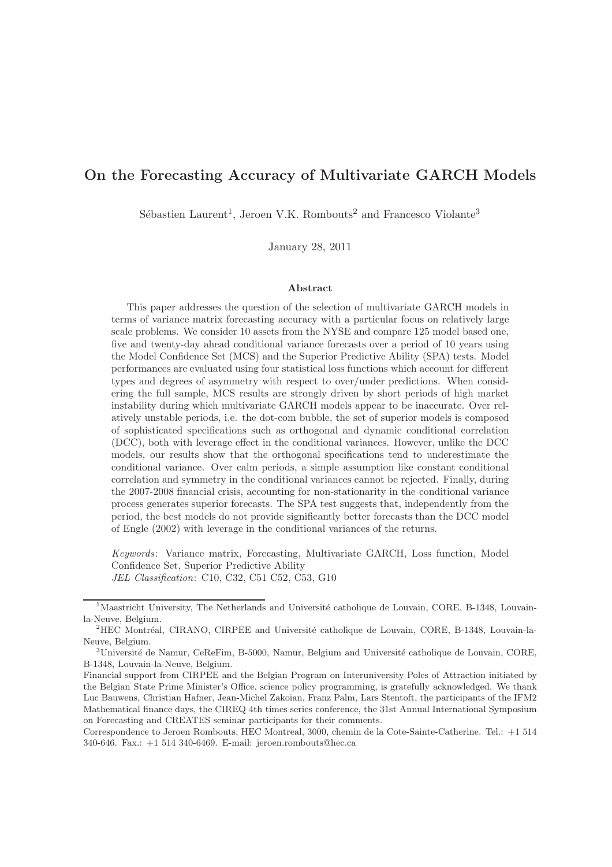# On the Forecasting Accuracy of Multivariate GARCH Models

Sébastien Laurent<sup>1</sup>, Jeroen V.K. Rombouts<sup>2</sup> and Francesco Violante<sup>3</sup>

January 28, 2011

#### Abstract

This paper addresses the question of the selection of multivariate GARCH models in terms of variance matrix forecasting accuracy with a particular focus on relatively large scale problems. We consider 10 assets from the NYSE and compare 125 model based one, five and twenty-day ahead conditional variance forecasts over a period of 10 years using the Model Confidence Set (MCS) and the Superior Predictive Ability (SPA) tests. Model performances are evaluated using four statistical loss functions which account for different types and degrees of asymmetry with respect to over/under predictions. When considering the full sample, MCS results are strongly driven by short periods of high market instability during which multivariate GARCH models appear to be inaccurate. Over relatively unstable periods, i.e. the dot-com bubble, the set of superior models is composed of sophisticated specifications such as orthogonal and dynamic conditional correlation (DCC), both with leverage effect in the conditional variances. However, unlike the DCC models, our results show that the orthogonal specifications tend to underestimate the conditional variance. Over calm periods, a simple assumption like constant conditional correlation and symmetry in the conditional variances cannot be rejected. Finally, during the 2007-2008 financial crisis, accounting for non-stationarity in the conditional variance process generates superior forecasts. The SPA test suggests that, independently from the period, the best models do not provide significantly better forecasts than the DCC model of Engle (2002) with leverage in the conditional variances of the returns.

Keywords: Variance matrix, Forecasting, Multivariate GARCH, Loss function, Model Confidence Set, Superior Predictive Ability JEL Classification: C10, C32, C51 C52, C53, G10

 $<sup>1</sup>$ Maastricht University, The Netherlands and Université catholique de Louvain, CORE, B-1348, Louvain-</sup> la-Neuve, Belgium.

<sup>&</sup>lt;sup>2</sup>HEC Montréal, CIRANO, CIRPEE and Université catholique de Louvain, CORE, B-1348, Louvain-la-Neuve, Belgium.

 $3$ Université de Namur, CeReFim, B-5000, Namur, Belgium and Université catholique de Louvain, CORE, B-1348, Louvain-la-Neuve, Belgium.

Financial support from CIRPEE and the Belgian Program on Interuniversity Poles of Attraction initiated by the Belgian State Prime Minister's Office, science policy programming, is gratefully acknowledged. We thank Luc Bauwens, Christian Hafner, Jean-Michel Zakoian, Franz Palm, Lars Stentoft, the participants of the IFM2 Mathematical finance days, the CIREQ 4th times series conference, the 31st Annual International Symposium on Forecasting and CREATES seminar participants for their comments.

Correspondence to Jeroen Rombouts, HEC Montreal, 3000, chemin de la Cote-Sainte-Catherine. Tel.: +1 514 340-646. Fax.: +1 514 340-6469. E-mail: jeroen.rombouts@hec.ca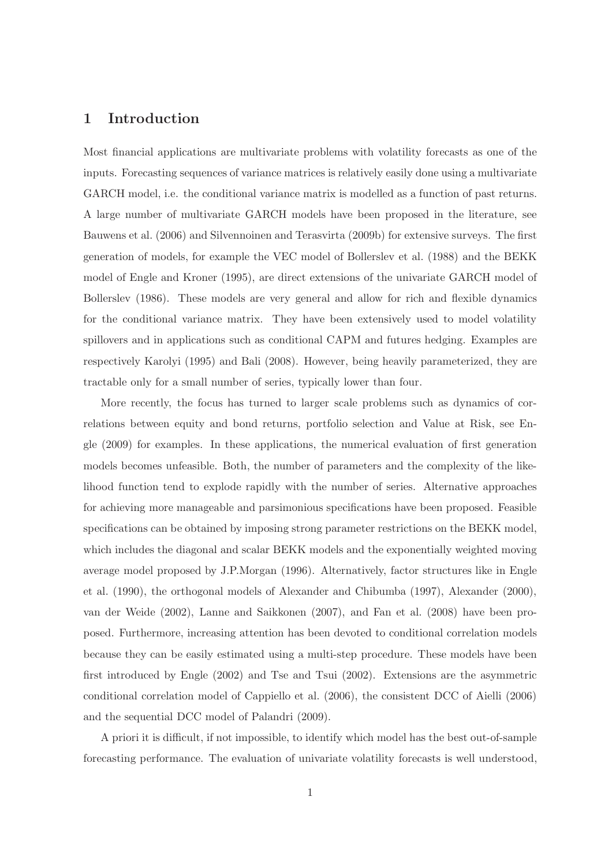# 1 Introduction

Most financial applications are multivariate problems with volatility forecasts as one of the inputs. Forecasting sequences of variance matrices is relatively easily done using a multivariate GARCH model, i.e. the conditional variance matrix is modelled as a function of past returns. A large number of multivariate GARCH models have been proposed in the literature, see Bauwens et al. (2006) and Silvennoinen and Terasvirta (2009b) for extensive surveys. The first generation of models, for example the VEC model of Bollerslev et al. (1988) and the BEKK model of Engle and Kroner (1995), are direct extensions of the univariate GARCH model of Bollerslev (1986). These models are very general and allow for rich and flexible dynamics for the conditional variance matrix. They have been extensively used to model volatility spillovers and in applications such as conditional CAPM and futures hedging. Examples are respectively Karolyi (1995) and Bali (2008). However, being heavily parameterized, they are tractable only for a small number of series, typically lower than four.

More recently, the focus has turned to larger scale problems such as dynamics of correlations between equity and bond returns, portfolio selection and Value at Risk, see Engle (2009) for examples. In these applications, the numerical evaluation of first generation models becomes unfeasible. Both, the number of parameters and the complexity of the likelihood function tend to explode rapidly with the number of series. Alternative approaches for achieving more manageable and parsimonious specifications have been proposed. Feasible specifications can be obtained by imposing strong parameter restrictions on the BEKK model, which includes the diagonal and scalar BEKK models and the exponentially weighted moving average model proposed by J.P.Morgan (1996). Alternatively, factor structures like in Engle et al. (1990), the orthogonal models of Alexander and Chibumba (1997), Alexander (2000), van der Weide (2002), Lanne and Saikkonen (2007), and Fan et al. (2008) have been proposed. Furthermore, increasing attention has been devoted to conditional correlation models because they can be easily estimated using a multi-step procedure. These models have been first introduced by Engle (2002) and Tse and Tsui (2002). Extensions are the asymmetric conditional correlation model of Cappiello et al. (2006), the consistent DCC of Aielli (2006) and the sequential DCC model of Palandri (2009).

A priori it is difficult, if not impossible, to identify which model has the best out-of-sample forecasting performance. The evaluation of univariate volatility forecasts is well understood,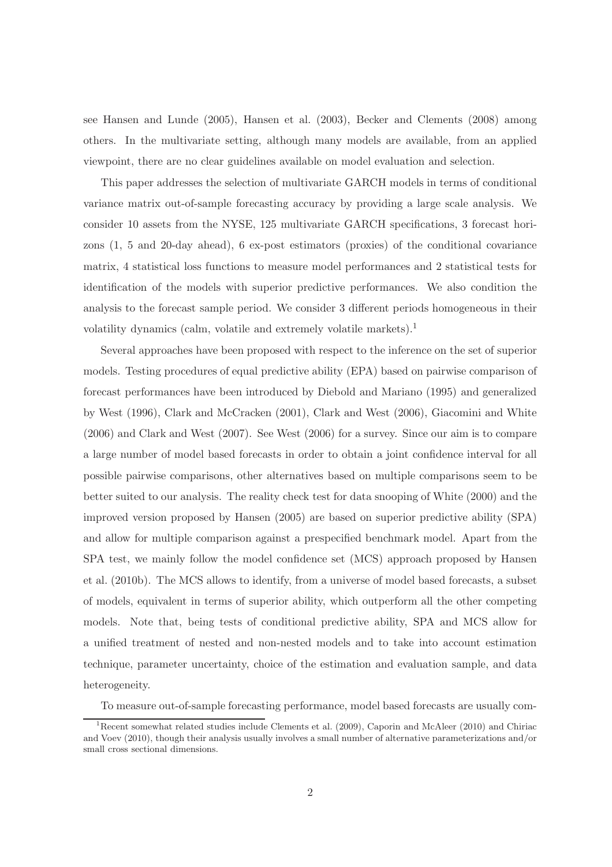see Hansen and Lunde (2005), Hansen et al. (2003), Becker and Clements (2008) among others. In the multivariate setting, although many models are available, from an applied viewpoint, there are no clear guidelines available on model evaluation and selection.

This paper addresses the selection of multivariate GARCH models in terms of conditional variance matrix out-of-sample forecasting accuracy by providing a large scale analysis. We consider 10 assets from the NYSE, 125 multivariate GARCH specifications, 3 forecast horizons (1, 5 and 20-day ahead), 6 ex-post estimators (proxies) of the conditional covariance matrix, 4 statistical loss functions to measure model performances and 2 statistical tests for identification of the models with superior predictive performances. We also condition the analysis to the forecast sample period. We consider 3 different periods homogeneous in their volatility dynamics (calm, volatile and extremely volatile markets).<sup>1</sup>

Several approaches have been proposed with respect to the inference on the set of superior models. Testing procedures of equal predictive ability (EPA) based on pairwise comparison of forecast performances have been introduced by Diebold and Mariano (1995) and generalized by West (1996), Clark and McCracken (2001), Clark and West (2006), Giacomini and White (2006) and Clark and West (2007). See West (2006) for a survey. Since our aim is to compare a large number of model based forecasts in order to obtain a joint confidence interval for all possible pairwise comparisons, other alternatives based on multiple comparisons seem to be better suited to our analysis. The reality check test for data snooping of White (2000) and the improved version proposed by Hansen (2005) are based on superior predictive ability (SPA) and allow for multiple comparison against a prespecified benchmark model. Apart from the SPA test, we mainly follow the model confidence set (MCS) approach proposed by Hansen et al. (2010b). The MCS allows to identify, from a universe of model based forecasts, a subset of models, equivalent in terms of superior ability, which outperform all the other competing models. Note that, being tests of conditional predictive ability, SPA and MCS allow for a unified treatment of nested and non-nested models and to take into account estimation technique, parameter uncertainty, choice of the estimation and evaluation sample, and data heterogeneity.

To measure out-of-sample forecasting performance, model based forecasts are usually com-

<sup>&</sup>lt;sup>1</sup>Recent somewhat related studies include Clements et al.  $(2009)$ , Caporin and McAleer  $(2010)$  and Chiriac and Voev (2010), though their analysis usually involves a small number of alternative parameterizations and/or small cross sectional dimensions.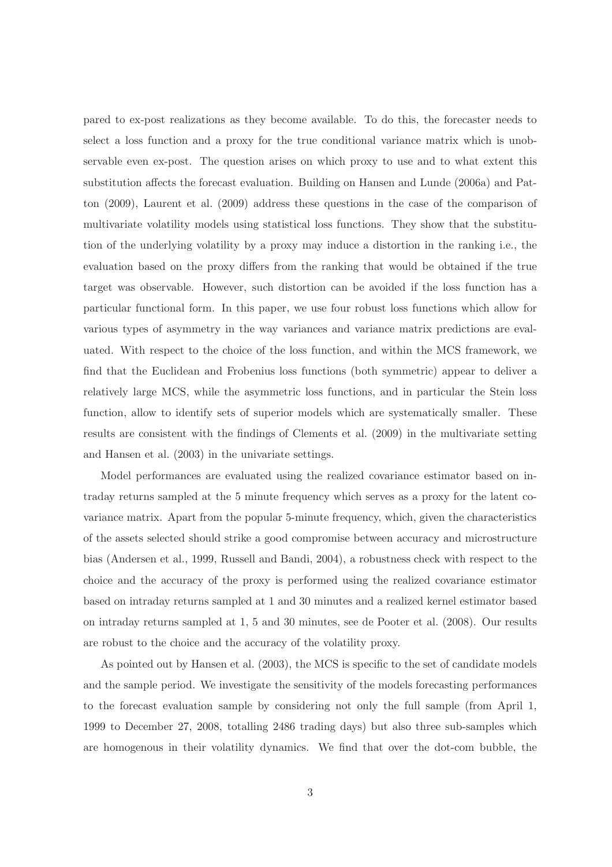pared to ex-post realizations as they become available. To do this, the forecaster needs to select a loss function and a proxy for the true conditional variance matrix which is unobservable even ex-post. The question arises on which proxy to use and to what extent this substitution affects the forecast evaluation. Building on Hansen and Lunde (2006a) and Patton (2009), Laurent et al. (2009) address these questions in the case of the comparison of multivariate volatility models using statistical loss functions. They show that the substitution of the underlying volatility by a proxy may induce a distortion in the ranking i.e., the evaluation based on the proxy differs from the ranking that would be obtained if the true target was observable. However, such distortion can be avoided if the loss function has a particular functional form. In this paper, we use four robust loss functions which allow for various types of asymmetry in the way variances and variance matrix predictions are evaluated. With respect to the choice of the loss function, and within the MCS framework, we find that the Euclidean and Frobenius loss functions (both symmetric) appear to deliver a relatively large MCS, while the asymmetric loss functions, and in particular the Stein loss function, allow to identify sets of superior models which are systematically smaller. These results are consistent with the findings of Clements et al. (2009) in the multivariate setting and Hansen et al. (2003) in the univariate settings.

Model performances are evaluated using the realized covariance estimator based on intraday returns sampled at the 5 minute frequency which serves as a proxy for the latent covariance matrix. Apart from the popular 5-minute frequency, which, given the characteristics of the assets selected should strike a good compromise between accuracy and microstructure bias (Andersen et al., 1999, Russell and Bandi, 2004), a robustness check with respect to the choice and the accuracy of the proxy is performed using the realized covariance estimator based on intraday returns sampled at 1 and 30 minutes and a realized kernel estimator based on intraday returns sampled at 1, 5 and 30 minutes, see de Pooter et al. (2008). Our results are robust to the choice and the accuracy of the volatility proxy.

As pointed out by Hansen et al. (2003), the MCS is specific to the set of candidate models and the sample period. We investigate the sensitivity of the models forecasting performances to the forecast evaluation sample by considering not only the full sample (from April 1, 1999 to December 27, 2008, totalling 2486 trading days) but also three sub-samples which are homogenous in their volatility dynamics. We find that over the dot-com bubble, the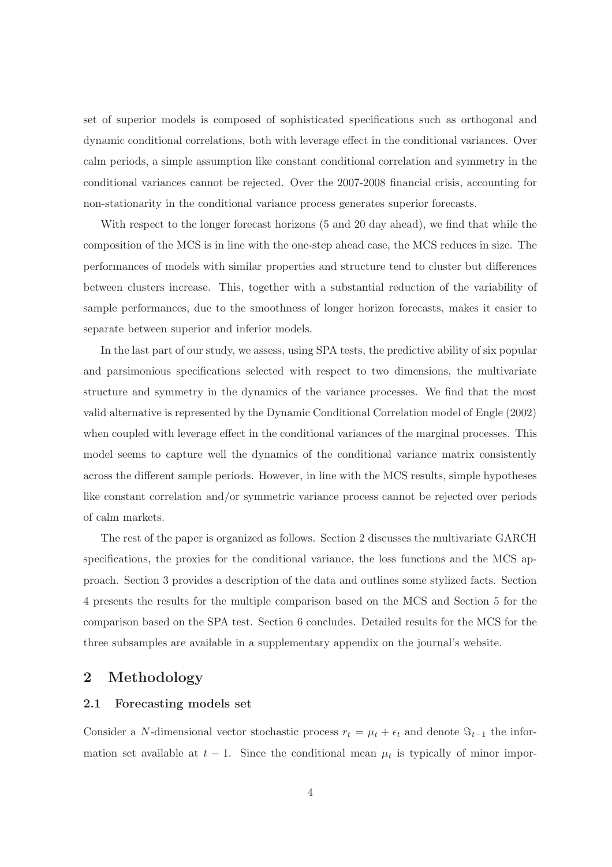set of superior models is composed of sophisticated specifications such as orthogonal and dynamic conditional correlations, both with leverage effect in the conditional variances. Over calm periods, a simple assumption like constant conditional correlation and symmetry in the conditional variances cannot be rejected. Over the 2007-2008 financial crisis, accounting for non-stationarity in the conditional variance process generates superior forecasts.

With respect to the longer forecast horizons (5 and 20 day ahead), we find that while the composition of the MCS is in line with the one-step ahead case, the MCS reduces in size. The performances of models with similar properties and structure tend to cluster but differences between clusters increase. This, together with a substantial reduction of the variability of sample performances, due to the smoothness of longer horizon forecasts, makes it easier to separate between superior and inferior models.

In the last part of our study, we assess, using SPA tests, the predictive ability of six popular and parsimonious specifications selected with respect to two dimensions, the multivariate structure and symmetry in the dynamics of the variance processes. We find that the most valid alternative is represented by the Dynamic Conditional Correlation model of Engle (2002) when coupled with leverage effect in the conditional variances of the marginal processes. This model seems to capture well the dynamics of the conditional variance matrix consistently across the different sample periods. However, in line with the MCS results, simple hypotheses like constant correlation and/or symmetric variance process cannot be rejected over periods of calm markets.

The rest of the paper is organized as follows. Section 2 discusses the multivariate GARCH specifications, the proxies for the conditional variance, the loss functions and the MCS approach. Section 3 provides a description of the data and outlines some stylized facts. Section 4 presents the results for the multiple comparison based on the MCS and Section 5 for the comparison based on the SPA test. Section 6 concludes. Detailed results for the MCS for the three subsamples are available in a supplementary appendix on the journal's website.

## 2 Methodology

### 2.1 Forecasting models set

Consider a N-dimensional vector stochastic process  $r_t = \mu_t + \epsilon_t$  and denote  $\Im_{t-1}$  the information set available at  $t-1$ . Since the conditional mean  $\mu_t$  is typically of minor impor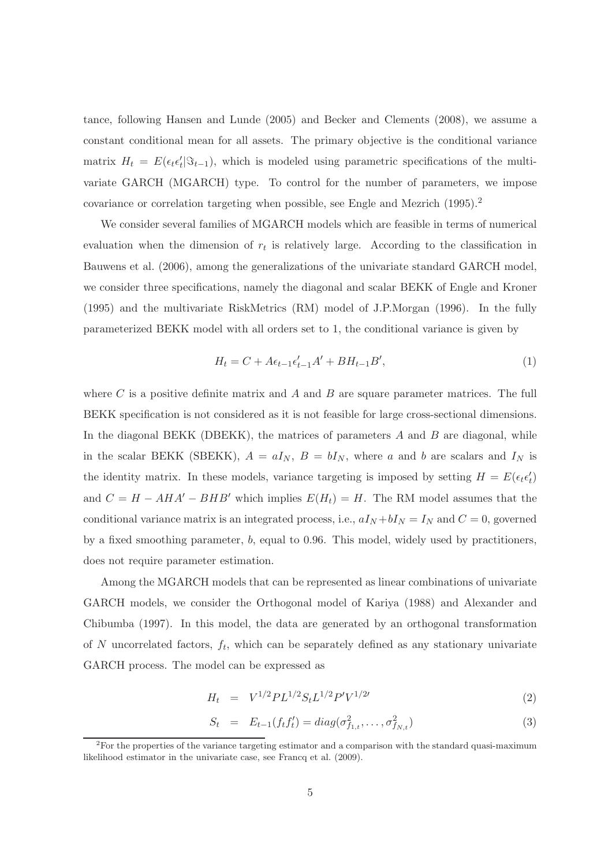tance, following Hansen and Lunde (2005) and Becker and Clements (2008), we assume a constant conditional mean for all assets. The primary objective is the conditional variance matrix  $H_t = E(\epsilon_t \epsilon'_t | \Im_{t-1})$ , which is modeled using parametric specifications of the multivariate GARCH (MGARCH) type. To control for the number of parameters, we impose covariance or correlation targeting when possible, see Engle and Mezrich (1995).<sup>2</sup>

We consider several families of MGARCH models which are feasible in terms of numerical evaluation when the dimension of  $r_t$  is relatively large. According to the classification in Bauwens et al. (2006), among the generalizations of the univariate standard GARCH model, we consider three specifications, namely the diagonal and scalar BEKK of Engle and Kroner (1995) and the multivariate RiskMetrics (RM) model of J.P.Morgan (1996). In the fully parameterized BEKK model with all orders set to 1, the conditional variance is given by

$$
H_t = C + A\epsilon_{t-1}\epsilon_{t-1}'A' + BH_{t-1}B',\tag{1}
$$

where C is a positive definite matrix and A and B are square parameter matrices. The full BEKK specification is not considered as it is not feasible for large cross-sectional dimensions. In the diagonal BEKK (DBEKK), the matrices of parameters  $A$  and  $B$  are diagonal, while in the scalar BEKK (SBEKK),  $A = aI_N$ ,  $B = bI_N$ , where a and b are scalars and  $I_N$  is the identity matrix. In these models, variance targeting is imposed by setting  $H = E(\epsilon_t \epsilon'_t)$ and  $C = H - AHA' - BHB'$  which implies  $E(H_t) = H$ . The RM model assumes that the conditional variance matrix is an integrated process, i.e.,  $aI_N + bI_N = I_N$  and  $C = 0$ , governed by a fixed smoothing parameter, b, equal to 0.96. This model, widely used by practitioners, does not require parameter estimation.

Among the MGARCH models that can be represented as linear combinations of univariate GARCH models, we consider the Orthogonal model of Kariya (1988) and Alexander and Chibumba (1997). In this model, the data are generated by an orthogonal transformation of N uncorrelated factors,  $f_t$ , which can be separately defined as any stationary univariate GARCH process. The model can be expressed as

$$
H_t = V^{1/2} P L^{1/2} S_t L^{1/2} P' V^{1/2} \tag{2}
$$

$$
S_t = E_{t-1}(f_t f_t') = diag(\sigma_{f_{1,t}}^2, \dots, \sigma_{f_{N,t}}^2)
$$
\n(3)

<sup>&</sup>lt;sup>2</sup>For the properties of the variance targeting estimator and a comparison with the standard quasi-maximum likelihood estimator in the univariate case, see Francq et al. (2009).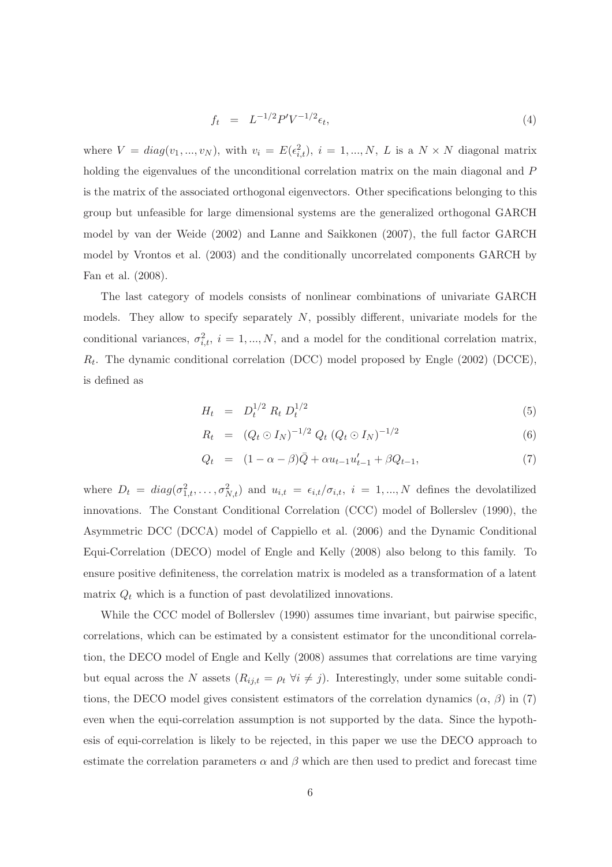$$
f_t = L^{-1/2} P' V^{-1/2} \epsilon_t,
$$
\n(4)

where  $V = diag(v_1, ..., v_N)$ , with  $v_i = E(\epsilon_{i,t}^2)$ ,  $i = 1, ..., N$ , L is a  $N \times N$  diagonal matrix holding the eigenvalues of the unconditional correlation matrix on the main diagonal and P is the matrix of the associated orthogonal eigenvectors. Other specifications belonging to this group but unfeasible for large dimensional systems are the generalized orthogonal GARCH model by van der Weide (2002) and Lanne and Saikkonen (2007), the full factor GARCH model by Vrontos et al. (2003) and the conditionally uncorrelated components GARCH by Fan et al. (2008).

The last category of models consists of nonlinear combinations of univariate GARCH models. They allow to specify separately  $N$ , possibly different, univariate models for the conditional variances,  $\sigma_{i,t}^2$ ,  $i = 1,...,N$ , and a model for the conditional correlation matrix,  $R_t$ . The dynamic conditional correlation (DCC) model proposed by Engle (2002) (DCCE), is defined as

$$
H_t = D_t^{1/2} R_t D_t^{1/2}
$$
\n(5)

$$
R_t = (Q_t \odot I_N)^{-1/2} Q_t (Q_t \odot I_N)^{-1/2}
$$
\n(6)

$$
Q_t = (1 - \alpha - \beta)\bar{Q} + \alpha u_{t-1}u'_{t-1} + \beta Q_{t-1}, \tag{7}
$$

where  $D_t = diag(\sigma_{1,t}^2, \ldots, \sigma_{N,t}^2)$  and  $u_{i,t} = \epsilon_{i,t}/\sigma_{i,t}$ ,  $i = 1, ..., N$  defines the devolatilized innovations. The Constant Conditional Correlation (CCC) model of Bollerslev (1990), the Asymmetric DCC (DCCA) model of Cappiello et al. (2006) and the Dynamic Conditional Equi-Correlation (DECO) model of Engle and Kelly (2008) also belong to this family. To ensure positive definiteness, the correlation matrix is modeled as a transformation of a latent matrix  $Q_t$  which is a function of past devolatilized innovations.

While the CCC model of Bollerslev (1990) assumes time invariant, but pairwise specific, correlations, which can be estimated by a consistent estimator for the unconditional correlation, the DECO model of Engle and Kelly (2008) assumes that correlations are time varying but equal across the N assets  $(R_{ij,t} = \rho_t \ \forall i \neq j)$ . Interestingly, under some suitable conditions, the DECO model gives consistent estimators of the correlation dynamics  $(\alpha, \beta)$  in (7) even when the equi-correlation assumption is not supported by the data. Since the hypothesis of equi-correlation is likely to be rejected, in this paper we use the DECO approach to estimate the correlation parameters  $\alpha$  and  $\beta$  which are then used to predict and forecast time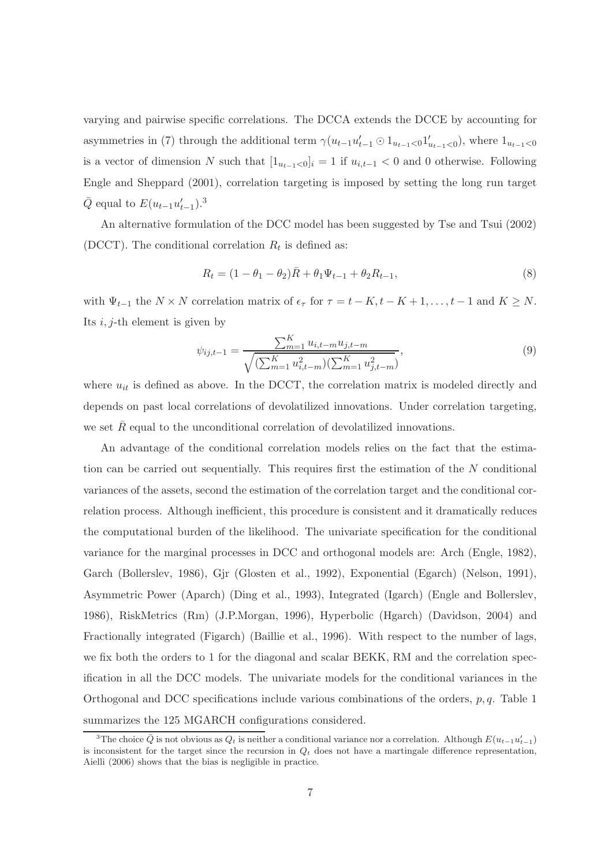varying and pairwise specific correlations. The DCCA extends the DCCE by accounting for asymmetries in (7) through the additional term  $\gamma(u_{t-1}u'_{t-1} \odot 1_{u_{t-1}<0}1'_{u_{t-1}<0})$ , where  $1_{u_{t-1}<0}$ is a vector of dimension N such that  $[1_{u_{t-1}<0}]_i = 1$  if  $u_{i,t-1} < 0$  and 0 otherwise. Following Engle and Sheppard (2001), correlation targeting is imposed by setting the long run target  $\bar{Q}$  equal to  $E(u_{t-1}u'_{t-1})$ .<sup>3</sup>

An alternative formulation of the DCC model has been suggested by Tse and Tsui (2002) (DCCT). The conditional correlation  $R_t$  is defined as:

$$
R_t = (1 - \theta_1 - \theta_2)\bar{R} + \theta_1\Psi_{t-1} + \theta_2 R_{t-1},
$$
\n(8)

with  $\Psi_{t-1}$  the  $N \times N$  correlation matrix of  $\epsilon_{\tau}$  for  $\tau = t - K, t - K + 1, \ldots, t - 1$  and  $K \geq N$ . Its  $i, j$ -th element is given by

$$
\psi_{ij,t-1} = \frac{\sum_{m=1}^{K} u_{i,t-m} u_{j,t-m}}{\sqrt{(\sum_{m=1}^{K} u_{i,t-m}^2)(\sum_{m=1}^{K} u_{j,t-m}^2)}},\tag{9}
$$

where  $u_{it}$  is defined as above. In the DCCT, the correlation matrix is modeled directly and depends on past local correlations of devolatilized innovations. Under correlation targeting, we set  $R$  equal to the unconditional correlation of devolatilized innovations.

An advantage of the conditional correlation models relies on the fact that the estimation can be carried out sequentially. This requires first the estimation of the N conditional variances of the assets, second the estimation of the correlation target and the conditional correlation process. Although inefficient, this procedure is consistent and it dramatically reduces the computational burden of the likelihood. The univariate specification for the conditional variance for the marginal processes in DCC and orthogonal models are: Arch (Engle, 1982), Garch (Bollerslev, 1986), Gjr (Glosten et al., 1992), Exponential (Egarch) (Nelson, 1991), Asymmetric Power (Aparch) (Ding et al., 1993), Integrated (Igarch) (Engle and Bollerslev, 1986), RiskMetrics (Rm) (J.P.Morgan, 1996), Hyperbolic (Hgarch) (Davidson, 2004) and Fractionally integrated (Figarch) (Baillie et al., 1996). With respect to the number of lags, we fix both the orders to 1 for the diagonal and scalar BEKK, RM and the correlation specification in all the DCC models. The univariate models for the conditional variances in the Orthogonal and DCC specifications include various combinations of the orders,  $p, q$ . Table 1 summarizes the 125 MGARCH configurations considered.

<sup>&</sup>lt;sup>3</sup>The choice  $\bar{Q}$  is not obvious as  $Q_t$  is neither a conditional variance nor a correlation. Although  $E(u_{t-1}u'_{t-1})$ is inconsistent for the target since the recursion in  $Q_t$  does not have a martingale difference representation, Aielli (2006) shows that the bias is negligible in practice.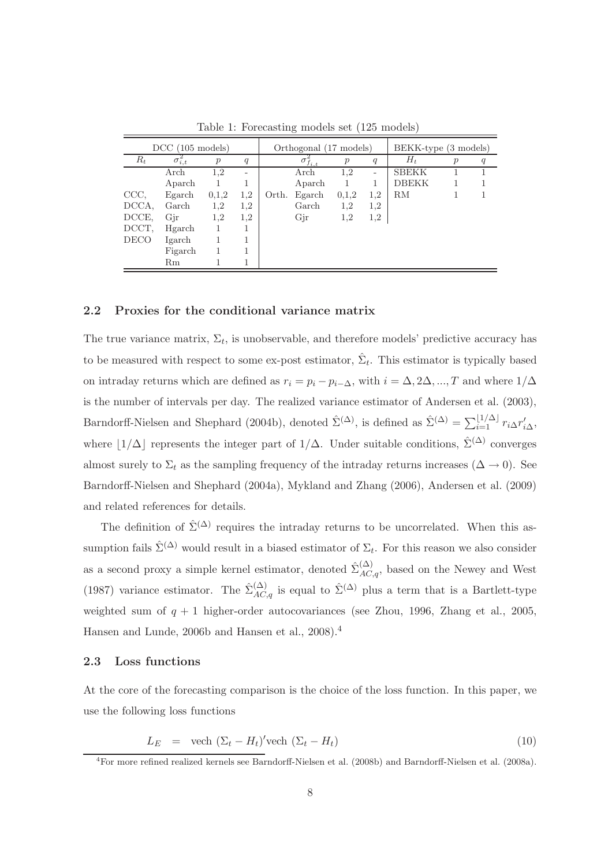|             | $DCC$ (105 models) |                  |         |       | Orthogonal (17 models) |                  | BEKK-type (3 models) |              |                  |   |  |  |
|-------------|--------------------|------------------|---------|-------|------------------------|------------------|----------------------|--------------|------------------|---|--|--|
| $R_t$       | $\sigma_{i,t}$     | $\boldsymbol{p}$ | q       |       | $\sigma^2_{f_{i,t}}$   | $\boldsymbol{p}$ | q                    | $H_t$        | $\boldsymbol{p}$ | q |  |  |
|             | Arch               | 1.2              | -       |       | Arch                   | 1.2              | -                    | <b>SBEKK</b> |                  |   |  |  |
|             | Aparch             |                  |         |       | Aparch                 |                  |                      | <b>DBEKK</b> |                  |   |  |  |
| CCC,        | Egarch             | 0,1,2            | 1.2     | Orth. | Egarch                 | 0,1,2            | 1,2                  | ${\rm RM}$   |                  |   |  |  |
| DCCA,       | Garch              | 1,2              | 1,2     |       | Garch                  | 1,2              | 1,2                  |              |                  |   |  |  |
| DCCE,       | Gir                | 1.2              | $1.2\,$ |       | Gjr                    | 1.2              | 1.2                  |              |                  |   |  |  |
| DCCT,       | Hgarch             |                  |         |       |                        |                  |                      |              |                  |   |  |  |
| <b>DECO</b> | Igarch             |                  |         |       |                        |                  |                      |              |                  |   |  |  |
|             | Figarch            |                  |         |       |                        |                  |                      |              |                  |   |  |  |
|             | Rm                 |                  |         |       |                        |                  |                      |              |                  |   |  |  |

Table 1: Forecasting models set (125 models)

### 2.2 Proxies for the conditional variance matrix

The true variance matrix,  $\Sigma_t$ , is unobservable, and therefore models' predictive accuracy has to be measured with respect to some ex-post estimator,  $\hat{\Sigma}_t$ . This estimator is typically based on intraday returns which are defined as  $r_i = p_i - p_{i-\Delta}$ , with  $i = \Delta, 2\Delta, ..., T$  and where  $1/\Delta$ is the number of intervals per day. The realized variance estimator of Andersen et al. (2003), Barndorff-Nielsen and Shephard (2004b), denoted  $\hat{\Sigma}^{(\Delta)}$ , is defined as  $\hat{\Sigma}^{(\Delta)} = \sum_{i=1}^{\lfloor 1/\Delta \rfloor} r_i \Delta r'_{i\Delta}$ , where  $|1/\Delta|$  represents the integer part of  $1/\Delta$ . Under suitable conditions,  $\hat{\Sigma}^{(\Delta)}$  converges almost surely to  $\Sigma_t$  as the sampling frequency of the intraday returns increases ( $\Delta \to 0$ ). See Barndorff-Nielsen and Shephard (2004a), Mykland and Zhang (2006), Andersen et al. (2009) and related references for details.

The definition of  $\hat{\Sigma}^{(\Delta)}$  requires the intraday returns to be uncorrelated. When this assumption fails  $\hat{\Sigma}^{(\Delta)}$  would result in a biased estimator of  $\Sigma_t$ . For this reason we also consider as a second proxy a simple kernel estimator, denoted  $\hat{\Sigma}_{AC,q}^{(\Delta)}$ , based on the Newey and West (1987) variance estimator. The  $\hat{\Sigma}_{AC,q}^{(\Delta)}$  is equal to  $\hat{\Sigma}^{(\Delta)}$  plus a term that is a Bartlett-type weighted sum of  $q + 1$  higher-order autocovariances (see Zhou, 1996, Zhang et al., 2005, Hansen and Lunde, 2006b and Hansen et al., 2008).<sup>4</sup>

#### 2.3 Loss functions

At the core of the forecasting comparison is the choice of the loss function. In this paper, we use the following loss functions

$$
L_E = \text{vech} (\Sigma_t - H_t)' \text{vech} (\Sigma_t - H_t) \tag{10}
$$

<sup>4</sup>For more refined realized kernels see Barndorff-Nielsen et al. (2008b) and Barndorff-Nielsen et al. (2008a).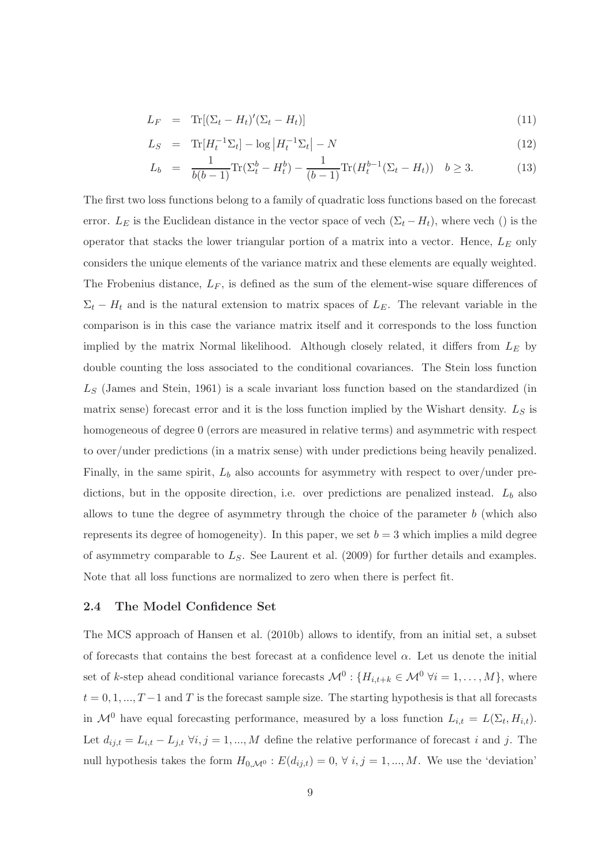$$
L_F = \text{Tr}[(\Sigma_t - H_t)'(\Sigma_t - H_t)] \tag{11}
$$

$$
L_S = \text{Tr}[H_t^{-1} \Sigma_t] - \log |H_t^{-1} \Sigma_t| - N \tag{12}
$$

$$
L_b = \frac{1}{b(b-1)} \text{Tr}(\Sigma_t^b - H_t^b) - \frac{1}{(b-1)} \text{Tr}(H_t^{b-1}(\Sigma_t - H_t)) \quad b \ge 3. \tag{13}
$$

The first two loss functions belong to a family of quadratic loss functions based on the forecast error.  $L_E$  is the Euclidean distance in the vector space of vech  $(\Sigma_t - H_t)$ , where vech () is the operator that stacks the lower triangular portion of a matrix into a vector. Hence,  $L<sub>E</sub>$  only considers the unique elements of the variance matrix and these elements are equally weighted. The Frobenius distance,  $L_F$ , is defined as the sum of the element-wise square differences of  $\Sigma_t$  –  $H_t$  and is the natural extension to matrix spaces of  $L_E$ . The relevant variable in the comparison is in this case the variance matrix itself and it corresponds to the loss function implied by the matrix Normal likelihood. Although closely related, it differs from  $L_E$  by double counting the loss associated to the conditional covariances. The Stein loss function  $L<sub>S</sub>$  (James and Stein, 1961) is a scale invariant loss function based on the standardized (in matrix sense) forecast error and it is the loss function implied by the Wishart density.  $L_S$  is homogeneous of degree 0 (errors are measured in relative terms) and asymmetric with respect to over/under predictions (in a matrix sense) with under predictions being heavily penalized. Finally, in the same spirit,  $L_b$  also accounts for asymmetry with respect to over/under predictions, but in the opposite direction, i.e. over predictions are penalized instead.  $L_b$  also allows to tune the degree of asymmetry through the choice of the parameter  $b$  (which also represents its degree of homogeneity). In this paper, we set  $b = 3$  which implies a mild degree of asymmetry comparable to  $L<sub>S</sub>$ . See Laurent et al. (2009) for further details and examples. Note that all loss functions are normalized to zero when there is perfect fit.

#### 2.4 The Model Confidence Set

The MCS approach of Hansen et al. (2010b) allows to identify, from an initial set, a subset of forecasts that contains the best forecast at a confidence level  $\alpha$ . Let us denote the initial set of k-step ahead conditional variance forecasts  $\mathcal{M}^0$  :  $\{H_{i,t+k} \in \mathcal{M}^0 \; \forall i = 1,\ldots,M\}$ , where  $t = 0, 1, ..., T-1$  and T is the forecast sample size. The starting hypothesis is that all forecasts in  $\mathcal{M}^0$  have equal forecasting performance, measured by a loss function  $L_{i,t} = L(\Sigma_t, H_{i,t})$ . Let  $d_{ij,t} = L_{i,t} - L_{j,t} \ \forall i,j = 1,...,M$  define the relative performance of forecast i and j. The null hypothesis takes the form  $H_{0,\mathcal{M}^0}$ :  $E(d_{ij,t}) = 0, \forall i,j = 1,...,M$ . We use the 'deviation'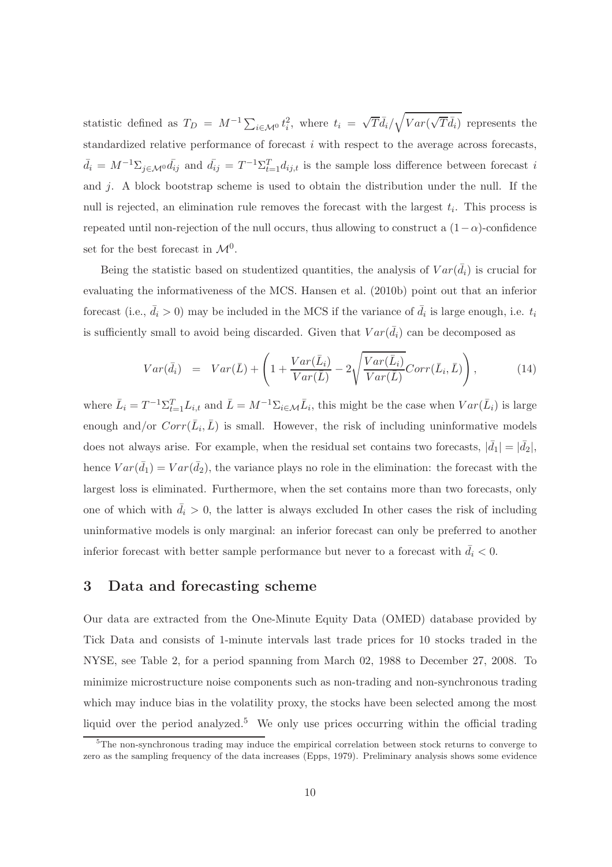statistic defined as  $T_D = M^{-1} \sum_{i \in \mathcal{M}^0} t_i^2$ , where  $t_i = \sqrt{T} \bar{d}_i / \sqrt{Var(\sqrt{T} \bar{d}_i)}$  represents the standardized relative performance of forecast  $i$  with respect to the average across forecasts,  $\bar{d}_i = M^{-1} \Sigma_{j \in \mathcal{M}^0} \bar{d}_{ij}$  and  $\bar{d}_{ij} = T^{-1} \Sigma_{t=1}^T d_{ij,t}$  is the sample loss difference between forecast i and j. A block bootstrap scheme is used to obtain the distribution under the null. If the null is rejected, an elimination rule removes the forecast with the largest  $t_i$ . This process is repeated until non-rejection of the null occurs, thus allowing to construct a  $(1-\alpha)$ -confidence set for the best forecast in  $\mathcal{M}^0$ .

Being the statistic based on studentized quantities, the analysis of  $Var(\bar{d}_i)$  is crucial for evaluating the informativeness of the MCS. Hansen et al. (2010b) point out that an inferior forecast (i.e.,  $\bar{d}_i > 0$ ) may be included in the MCS if the variance of  $\bar{d}_i$  is large enough, i.e.  $t_i$ is sufficiently small to avoid being discarded. Given that  $Var(\bar{d}_i)$  can be decomposed as

$$
Var(\bar{d}_{i}) = Var(\bar{L}) + \left(1 + \frac{Var(\bar{L}_{i})}{Var(\bar{L})} - 2\sqrt{\frac{Var(\bar{L}_{i})}{Var(\bar{L})}}Corr(\bar{L}_{i}, \bar{L})\right),
$$
(14)

where  $\bar{L}_i = T^{-1} \Sigma_{t=1}^T L_{i,t}$  and  $\bar{L} = M^{-1} \Sigma_{i \in \mathcal{M}} \bar{L}_i$ , this might be the case when  $Var(\bar{L}_i)$  is large enough and/or  $Corr(\bar{L}_i, \bar{L})$  is small. However, the risk of including uninformative models does not always arise. For example, when the residual set contains two forecasts,  $|\bar{d}_1| = |\bar{d}_2|$ , hence  $Var(\bar{d}_1) = Var(\bar{d}_2)$ , the variance plays no role in the elimination: the forecast with the largest loss is eliminated. Furthermore, when the set contains more than two forecasts, only one of which with  $\bar{d}_i > 0$ , the latter is always excluded In other cases the risk of including uninformative models is only marginal: an inferior forecast can only be preferred to another inferior forecast with better sample performance but never to a forecast with  $\bar{d}_i < 0$ .

## 3 Data and forecasting scheme

Our data are extracted from the One-Minute Equity Data (OMED) database provided by Tick Data and consists of 1-minute intervals last trade prices for 10 stocks traded in the NYSE, see Table 2, for a period spanning from March 02, 1988 to December 27, 2008. To minimize microstructure noise components such as non-trading and non-synchronous trading which may induce bias in the volatility proxy, the stocks have been selected among the most liquid over the period analyzed.<sup>5</sup> We only use prices occurring within the official trading

 $5$ The non-synchronous trading may induce the empirical correlation between stock returns to converge to zero as the sampling frequency of the data increases (Epps, 1979). Preliminary analysis shows some evidence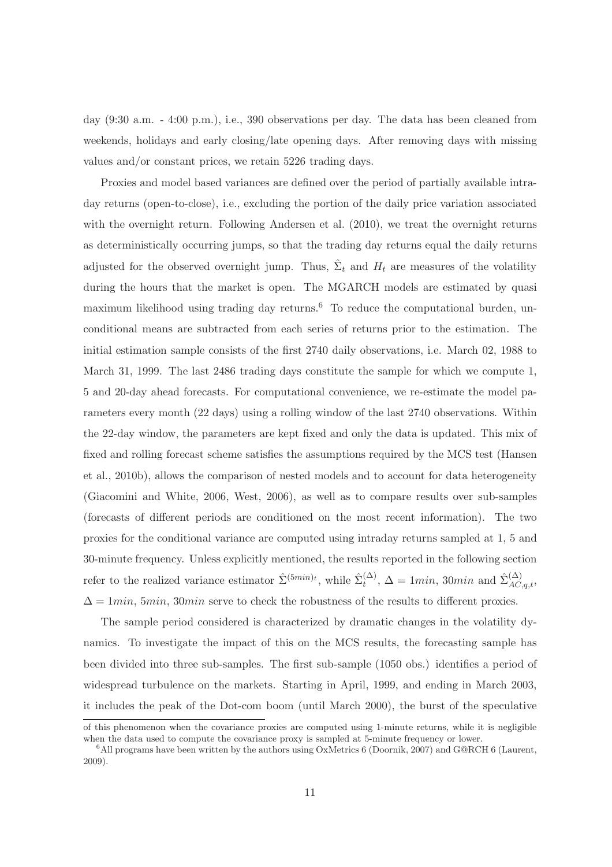day (9:30 a.m. - 4:00 p.m.), i.e., 390 observations per day. The data has been cleaned from weekends, holidays and early closing/late opening days. After removing days with missing values and/or constant prices, we retain 5226 trading days.

Proxies and model based variances are defined over the period of partially available intraday returns (open-to-close), i.e., excluding the portion of the daily price variation associated with the overnight return. Following Andersen et al. (2010), we treat the overnight returns as deterministically occurring jumps, so that the trading day returns equal the daily returns adjusted for the observed overnight jump. Thus,  $\hat{\Sigma}_t$  and  $H_t$  are measures of the volatility during the hours that the market is open. The MGARCH models are estimated by quasi maximum likelihood using trading day returns.<sup>6</sup> To reduce the computational burden, unconditional means are subtracted from each series of returns prior to the estimation. The initial estimation sample consists of the first 2740 daily observations, i.e. March 02, 1988 to March 31, 1999. The last 2486 trading days constitute the sample for which we compute 1, 5 and 20-day ahead forecasts. For computational convenience, we re-estimate the model parameters every month (22 days) using a rolling window of the last 2740 observations. Within the 22-day window, the parameters are kept fixed and only the data is updated. This mix of fixed and rolling forecast scheme satisfies the assumptions required by the MCS test (Hansen et al., 2010b), allows the comparison of nested models and to account for data heterogeneity (Giacomini and White, 2006, West, 2006), as well as to compare results over sub-samples (forecasts of different periods are conditioned on the most recent information). The two proxies for the conditional variance are computed using intraday returns sampled at 1, 5 and 30-minute frequency. Unless explicitly mentioned, the results reported in the following section refer to the realized variance estimator  $\hat{\Sigma}^{(5min)_t}$ , while  $\hat{\Sigma}^{(\Delta)}_t$  $\hat{\mathcal{L}}_t^{(\Delta)}$ ,  $\Delta = 1min$ , 30 $min$  and  $\hat{\Sigma}_{AC,q,t}^{(\Delta)}$ ,  $\Delta = 1min$ , 5min, 30min serve to check the robustness of the results to different proxies.

The sample period considered is characterized by dramatic changes in the volatility dynamics. To investigate the impact of this on the MCS results, the forecasting sample has been divided into three sub-samples. The first sub-sample (1050 obs.) identifies a period of widespread turbulence on the markets. Starting in April, 1999, and ending in March 2003, it includes the peak of the Dot-com boom (until March 2000), the burst of the speculative

of this phenomenon when the covariance proxies are computed using 1-minute returns, while it is negligible when the data used to compute the covariance proxy is sampled at 5-minute frequency or lower.

 $6$ All programs have been written by the authors using OxMetrics 6 (Doornik, 2007) and G@RCH 6 (Laurent, 2009).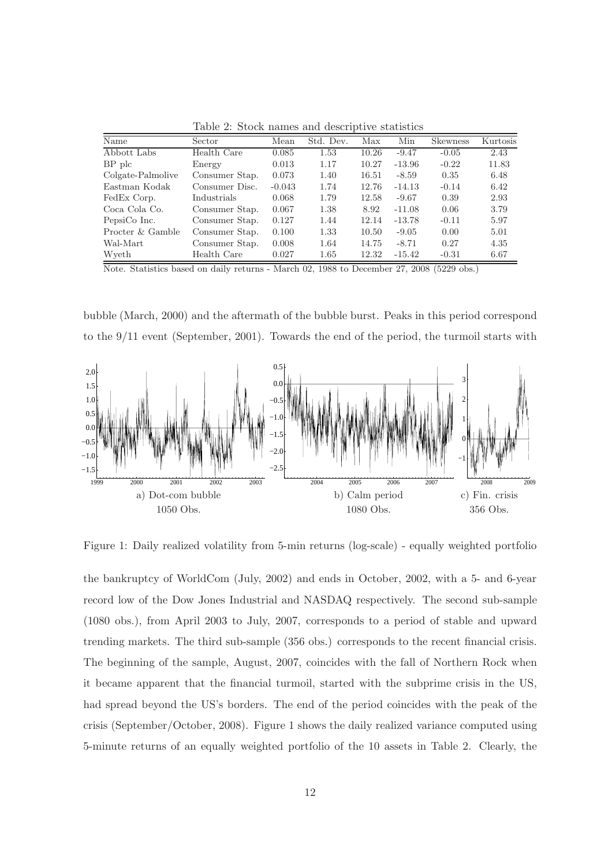Table 2: Stock names and descriptive statistics

| Name              | Sector         | Mean     | Std. Dev. | Max   | Min      | <b>Skewness</b> | Kurtosis |
|-------------------|----------------|----------|-----------|-------|----------|-----------------|----------|
| Abbott Labs       | Health Care    | 0.085    | 1.53      | 10.26 | $-9.47$  | $-0.05$         | 2.43     |
| $BP$ plc          | Energy         | 0.013    | 1.17      | 10.27 | $-13.96$ | $-0.22$         | 11.83    |
| Colgate-Palmolive | Consumer Stap. | 0.073    | 1.40      | 16.51 | $-8.59$  | 0.35            | 6.48     |
| Eastman Kodak     | Consumer Disc. | $-0.043$ | 1.74      | 12.76 | $-14.13$ | $-0.14$         | 6.42     |
| FedEx Corp.       | Industrials    | 0.068    | 1.79      | 12.58 | $-9.67$  | 0.39            | 2.93     |
| Coca Cola Co.     | Consumer Stap. | 0.067    | 1.38      | 8.92  | $-11.08$ | 0.06            | 3.79     |
| PepsiCo Inc.      | Consumer Stap. | 0.127    | 1.44      | 12.14 | $-13.78$ | $-0.11$         | 5.97     |
| Procter & Gamble  | Consumer Stap. | 0.100    | 1.33      | 10.50 | $-9.05$  | 0.00            | 5.01     |
| Wal-Mart          | Consumer Stap. | 0.008    | 1.64      | 14.75 | $-8.71$  | 0.27            | 4.35     |
| Wyeth             | Health Care    | 0.027    | 1.65      | 12.32 | $-15.42$ | $-0.31$         | 6.67     |

Note. Statistics based on daily returns - March 02, 1988 to December 27, 2008 (5229 obs.)

bubble (March, 2000) and the aftermath of the bubble burst. Peaks in this period correspond to the 9/11 event (September, 2001). Towards the end of the period, the turmoil starts with



Figure 1: Daily realized volatility from 5-min returns (log-scale) - equally weighted portfolio

the bankruptcy of WorldCom (July, 2002) and ends in October, 2002, with a 5- and 6-year record low of the Dow Jones Industrial and NASDAQ respectively. The second sub-sample (1080 obs.), from April 2003 to July, 2007, corresponds to a period of stable and upward trending markets. The third sub-sample (356 obs.) corresponds to the recent financial crisis. The beginning of the sample, August, 2007, coincides with the fall of Northern Rock when it became apparent that the financial turmoil, started with the subprime crisis in the US, had spread beyond the US's borders. The end of the period coincides with the peak of the crisis (September/October, 2008). Figure 1 shows the daily realized variance computed using 5-minute returns of an equally weighted portfolio of the 10 assets in Table 2. Clearly, the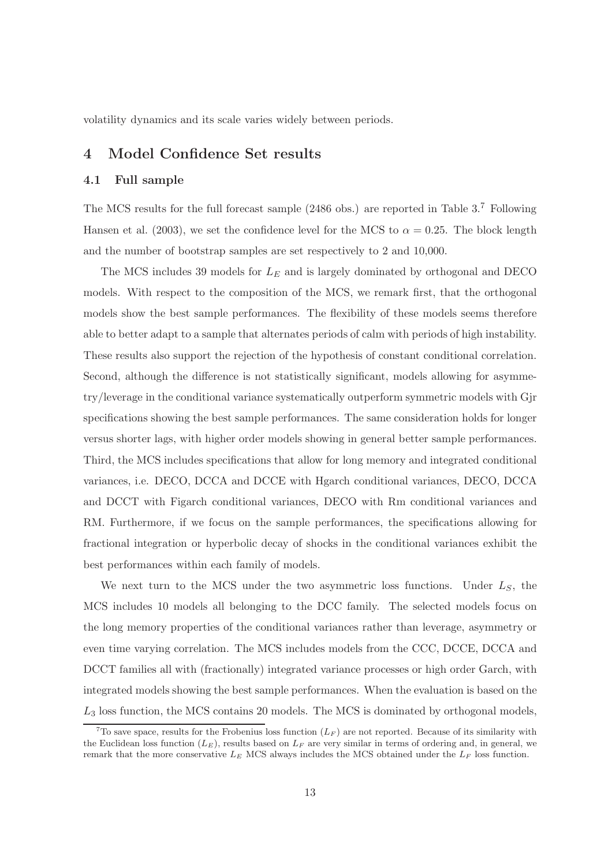volatility dynamics and its scale varies widely between periods.

# 4 Model Confidence Set results

### 4.1 Full sample

The MCS results for the full forecast sample (2486 obs.) are reported in Table 3.<sup>7</sup> Following Hansen et al. (2003), we set the confidence level for the MCS to  $\alpha = 0.25$ . The block length and the number of bootstrap samples are set respectively to 2 and 10,000.

The MCS includes 39 models for  $L<sub>E</sub>$  and is largely dominated by orthogonal and DECO models. With respect to the composition of the MCS, we remark first, that the orthogonal models show the best sample performances. The flexibility of these models seems therefore able to better adapt to a sample that alternates periods of calm with periods of high instability. These results also support the rejection of the hypothesis of constant conditional correlation. Second, although the difference is not statistically significant, models allowing for asymmetry/leverage in the conditional variance systematically outperform symmetric models with Gjr specifications showing the best sample performances. The same consideration holds for longer versus shorter lags, with higher order models showing in general better sample performances. Third, the MCS includes specifications that allow for long memory and integrated conditional variances, i.e. DECO, DCCA and DCCE with Hgarch conditional variances, DECO, DCCA and DCCT with Figarch conditional variances, DECO with Rm conditional variances and RM. Furthermore, if we focus on the sample performances, the specifications allowing for fractional integration or hyperbolic decay of shocks in the conditional variances exhibit the best performances within each family of models.

We next turn to the MCS under the two asymmetric loss functions. Under  $L<sub>S</sub>$ , the MCS includes 10 models all belonging to the DCC family. The selected models focus on the long memory properties of the conditional variances rather than leverage, asymmetry or even time varying correlation. The MCS includes models from the CCC, DCCE, DCCA and DCCT families all with (fractionally) integrated variance processes or high order Garch, with integrated models showing the best sample performances. When the evaluation is based on the  $L_3$  loss function, the MCS contains 20 models. The MCS is dominated by orthogonal models,

<sup>&</sup>lt;sup>7</sup>To save space, results for the Frobenius loss function  $(L_F)$  are not reported. Because of its similarity with the Euclidean loss function  $(L_E)$ , results based on  $L_F$  are very similar in terms of ordering and, in general, we remark that the more conservative  $L_E$  MCS always includes the MCS obtained under the  $L_F$  loss function.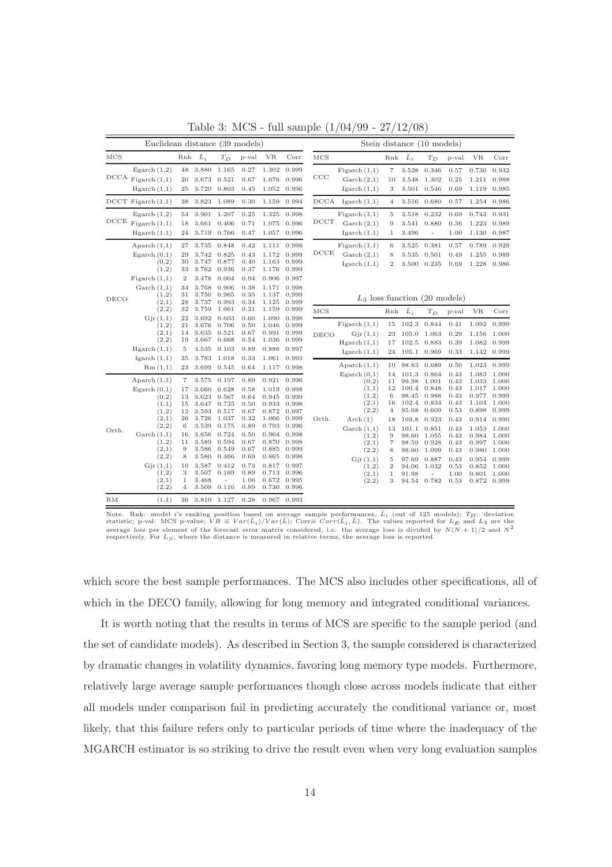| Euclidean distance (39 models) |                                                                                                                                                                                |                                                                                                     |                                                                                                                                     |                                                                                                                                             |                                                                                                                      |                                                                                                                                     |                                                                                                                                     | Stein distance (10 models) |                                                                                                                                                                         |                                                                                                                                                            |                                                                                                                                     |                                                                                                                                  |                                                                                                                      |                                                                                                                                     |                                                                                                                                     |
|--------------------------------|--------------------------------------------------------------------------------------------------------------------------------------------------------------------------------|-----------------------------------------------------------------------------------------------------|-------------------------------------------------------------------------------------------------------------------------------------|---------------------------------------------------------------------------------------------------------------------------------------------|----------------------------------------------------------------------------------------------------------------------|-------------------------------------------------------------------------------------------------------------------------------------|-------------------------------------------------------------------------------------------------------------------------------------|----------------------------|-------------------------------------------------------------------------------------------------------------------------------------------------------------------------|------------------------------------------------------------------------------------------------------------------------------------------------------------|-------------------------------------------------------------------------------------------------------------------------------------|----------------------------------------------------------------------------------------------------------------------------------|----------------------------------------------------------------------------------------------------------------------|-------------------------------------------------------------------------------------------------------------------------------------|-------------------------------------------------------------------------------------------------------------------------------------|
| $_{\rm MCS}$                   |                                                                                                                                                                                | Rnk                                                                                                 | $\bar{L}_i$                                                                                                                         | $T_D$                                                                                                                                       | p-val                                                                                                                | <b>VR</b>                                                                                                                           | Corr                                                                                                                                | MCS                        |                                                                                                                                                                         | Rnk                                                                                                                                                        | $\bar{L}_i$                                                                                                                         | $T_D$                                                                                                                            | p-val                                                                                                                | VR                                                                                                                                  | Corr                                                                                                                                |
|                                | Egarch $(1,2)$<br>$DCCA$ Figarch $(1,1)$<br>Hgarch(1,1)                                                                                                                        | 48<br>20<br>25                                                                                      | 3.880<br>3.673<br>3.720                                                                                                             | 1.165<br>0.521<br>0.803                                                                                                                     | 0.27<br>0.67<br>0.45                                                                                                 | 1.302<br>1.076<br>1.052                                                                                                             | 0.999<br>0.996<br>0.996                                                                                                             | CCC                        | Figureh(1,1)<br>$\operatorname{Garch}(2,1)$<br>Igarch $(1,1)$                                                                                                           | $\scriptstyle{7}$<br>10<br>3                                                                                                                               | 3.528<br>3.548<br>3.501                                                                                                             | 0.346<br>1.302<br>0.546                                                                                                          | 0.57<br>0.25<br>0.69                                                                                                 | 0.730<br>1.211<br>1.119                                                                                                             | 0.932<br>0.988<br>0.985                                                                                                             |
|                                | $DCCT$ Figarch $(1,1)$                                                                                                                                                         | 38                                                                                                  | 3.823                                                                                                                               | 1.089                                                                                                                                       | 0.30                                                                                                                 | 1.159                                                                                                                               | 0.994                                                                                                                               | DCCA                       | I <sub>g</sub> arch(1,1)                                                                                                                                                | 4                                                                                                                                                          | 3.516                                                                                                                               | 0.680                                                                                                                            | 0.57                                                                                                                 | 1.254                                                                                                                               | 0.986                                                                                                                               |
|                                | Egarch $(1,2)$<br>$DCCE$ Figarch $(1,1)$<br>Hgarch(1,1)                                                                                                                        | 53<br>18<br>24                                                                                      | 3.901<br>3.661<br>3.719                                                                                                             | 1.207<br>0.406<br>0.766                                                                                                                     | 0.25<br>0.71<br>0.47                                                                                                 | 1.325<br>1.075<br>1.057                                                                                                             | 0.998<br>0.996<br>0.996                                                                                                             | $_{\mathrm{DCT}}$          | Figureh(1,1)<br>$\operatorname{Garch}(2,1)$<br>I <sub>g</sub> arch(1,1)                                                                                                 | $\overline{5}$<br>$\overline{9}$<br>1                                                                                                                      | 3.518<br>3.541<br>3.496                                                                                                             | 0.232<br>0.880<br>$\blacksquare$                                                                                                 | 0.69<br>0.36<br>1.00                                                                                                 | 0.743<br>1.223<br>1.130                                                                                                             | 0.931<br>0.989<br>0.987                                                                                                             |
|                                | Aparch $(1,1)$<br>Egarch $(0,1)$<br>(0,2)<br>(1,2)<br>Figureh(1,1)<br>$\operatorname{Garch}(1,1)$<br>(1,2)                                                                     | 27<br>29<br>30<br>33<br>$\overline{2}$<br>34<br>31                                                  | 3.735<br>3.742<br>3.747<br>3.762<br>3.478<br>3.768<br>3.750                                                                         | 0.848<br>0.825<br>0.877<br>0.936<br>0.004<br>0.906<br>0.965                                                                                 | 0.42<br>0.43<br>0.40<br>0.37<br>0.94<br>0.38<br>0.35                                                                 | 1.111<br>1.172<br>1.163<br>1.176<br>0.906<br>1.171<br>1.137                                                                         | 0.998<br>0.999<br>0.999<br>0.999<br>0.997<br>0.998<br>0.999                                                                         | DCCE                       | Figureh(1,1)<br>$\operatorname{Garch}(2,1)$<br>Igarch $(1,1)$                                                                                                           | 6<br>8<br>$\boldsymbol{2}$                                                                                                                                 | 3.525<br>3.535<br>3.500                                                                                                             | 0.381<br>0.561<br>0.235                                                                                                          | 0.57<br>0.49<br>0.69                                                                                                 | 0.789<br>1.255<br>1.228                                                                                                             | 0.929<br>0.989<br>0.986                                                                                                             |
| DECO                           | (2,1)<br>(2,2)                                                                                                                                                                 | 28<br>32                                                                                            | 3.737<br>3.759                                                                                                                      | 0.993<br>1.061                                                                                                                              | 0.34<br>0.31                                                                                                         | 1.125<br>1.159                                                                                                                      | 0.999<br>0.999                                                                                                                      |                            | $L_3$ loss function (20 models)                                                                                                                                         | Rnk                                                                                                                                                        | $\bar{L}_i$                                                                                                                         |                                                                                                                                  |                                                                                                                      |                                                                                                                                     | Corr                                                                                                                                |
|                                | Gjr(1,1)<br>(1,2)<br>(2,1)<br>(2,2)<br>Hgarch(1,1)<br>Igarch $(1,1)$<br>Rm(1,1)                                                                                                | 22<br>21<br>14<br>19<br>5<br>35<br>23                                                               | 3.692<br>3.676<br>3.635<br>3.667<br>3.535<br>3.783<br>3.699                                                                         | 0.603<br>0.706<br>0.521<br>0.668<br>0.103<br>1.018<br>0.545                                                                                 | 0.60<br>0.50<br>0.67<br>0.54<br>0.89<br>0.33<br>0.64                                                                 | 1.090<br>1.046<br>0.991<br>1.036<br>0.886<br>1.061<br>1.117                                                                         | 0.998<br>0.999<br>0.999<br>0.999<br>0.997<br>0.993<br>0.998                                                                         | MCS<br>DECO                | Figureh(1,1)<br>Gjr(1,1)<br>Hgarch(1,1)<br>I <sub>garch</sub> (1,1)<br>Aparch $(1,1)$                                                                                   | 15<br>23<br>17<br>24<br>10                                                                                                                                 | 102.3<br>105.0<br>102.5<br>105.1<br>98.83                                                                                           | $T_D$<br>0.844<br>1.063<br>0.883<br>0.969<br>0.689                                                                               | p-val<br>0.41<br>0.29<br>0.39<br>0.33<br>0.50                                                                        | VR<br>1.092<br>1.156<br>1.082<br>1.142<br>1.023                                                                                     | 0.999<br>1.000<br>0.999<br>0.999<br>0.999                                                                                           |
| Orth.                          | Aparch $(1,1)$<br>Egarch $(0,1)$<br>(0,2)<br>(1,1)<br>(1,2)<br>(2,1)<br>(2,2)<br>$\operatorname{Garch}(1,1)$<br>(1,2)<br>(2,1)<br>(2,2)<br>Gjr(1,1)<br>(1,2)<br>(2,1)<br>(2,2) | $\scriptstyle{7}$<br>17<br>13<br>15<br>12<br>26<br>6<br>16<br>11<br>9<br>8<br>10<br>3<br>$1\,$<br>4 | 3.575<br>3.660<br>3.623<br>3.647<br>3.593<br>3.726<br>3.539<br>3.656<br>3.589<br>3.586<br>3.580<br>3.587<br>3.507<br>3.468<br>3.509 | 0.197<br>0.628<br>0.567<br>0.735<br>0.517<br>1.037<br>0.175<br>0.724<br>0.594<br>0.549<br>0.466<br>0.412<br>0.169<br>$\frac{1}{2}$<br>0.116 | 0.89<br>0.58<br>0.64<br>0.50<br>0.67<br>0.32<br>0.89<br>0.50<br>0.67<br>0.67<br>0.69<br>0.73<br>0.89<br>1.00<br>0.89 | 0.921<br>1.019<br>0.945<br>0.933<br>0.872<br>1.066<br>0.793<br>0.964<br>0.870<br>0.885<br>0.865<br>0.817<br>0.713<br>0.672<br>0.730 | 0.996<br>0.998<br>0.999<br>0.998<br>0.997<br>0.999<br>0.996<br>0.998<br>0.998<br>0.999<br>0.998<br>0.997<br>0.996<br>0.995<br>0.996 | Orth.                      | Egarch $(0,1)$<br>(0,2)<br>(1,1)<br>(1,2)<br>(2,1)<br>(2,2)<br>Arch(1)<br>$\operatorname{Garch}(1,1)$<br>(1,2)<br>(2,1)<br>(2,2)<br>Gir(1,1)<br>(1,2)<br>(2,1)<br>(2,2) | 14<br>11<br>12<br>$\,$ 6 $\,$<br>16<br>$\overline{4}$<br>18<br>13<br>$\boldsymbol{9}$<br>$\scriptstyle{7}$<br>8<br>5<br>$\overline{2}$<br>$\mathbf 1$<br>3 | 101.3<br>99.98<br>100.4<br>98.45<br>102.4<br>95.68<br>103.8<br>101.1<br>98.60<br>98.59<br>98.60<br>97.69<br>94.06<br>91.98<br>94.54 | 0.864<br>1.001<br>0.848<br>0.988<br>0.834<br>0.609<br>0.923<br>0.851<br>1.055<br>0.928<br>1.099<br>0.887<br>1.032<br>L,<br>0.782 | 0.43<br>0.43<br>0.43<br>0.43<br>0.43<br>0.53<br>0.43<br>0.43<br>0.43<br>0.43<br>0.43<br>0.43<br>0.53<br>1.00<br>0.53 | 1.083<br>1.033<br>1.017<br>0.977<br>1.104<br>0.898<br>0.914<br>1.053<br>0.984<br>0.997<br>0.980<br>0.954<br>0.852<br>0.801<br>0.872 | 1.000<br>1.000<br>1.000<br>0.999<br>1.000<br>0.999<br>0.990<br>1.000<br>1.000<br>1.000<br>1.000<br>0.999<br>1.000<br>1.000<br>0.999 |
| RM                             | (1,1)                                                                                                                                                                          | 36                                                                                                  | 3.810                                                                                                                               | 1.127                                                                                                                                       | 0.28                                                                                                                 | 0.967                                                                                                                               | 0.993                                                                                                                               |                            |                                                                                                                                                                         |                                                                                                                                                            |                                                                                                                                     |                                                                                                                                  |                                                                                                                      |                                                                                                                                     |                                                                                                                                     |

Table 3: MCS - full sample (1/04/99 - 27/12/08)

which score the best sample performances. The MCS also includes other specifications, all of which in the DECO family, allowing for long memory and integrated conditional variances.

It is worth noting that the results in terms of MCS are specific to the sample period (and the set of candidate models). As described in Section 3, the sample considered is characterized by dramatic changes in volatility dynamics, favoring long memory type models. Furthermore, relatively large average sample performances though close across models indicate that either all models under comparison fail in predicting accurately the conditional variance or, most likely, that this failure refers only to particular periods of time where the inadequacy of the MGARCH estimator is so striking to drive the result even when very long evaluation samples

Note. Rnk: model *i*'s ranking position based on average sample performances,  $\bar{L}_i$  (out of 125 models);  $T_D$ : deviation statistic; p-val: MCS p-value;  $VR \equiv Var(\bar{L}_i)/Var(\bar{L})$ ; Corr $\equiv Corr(\bar{L}_i, \bar{L})$ . The values reported f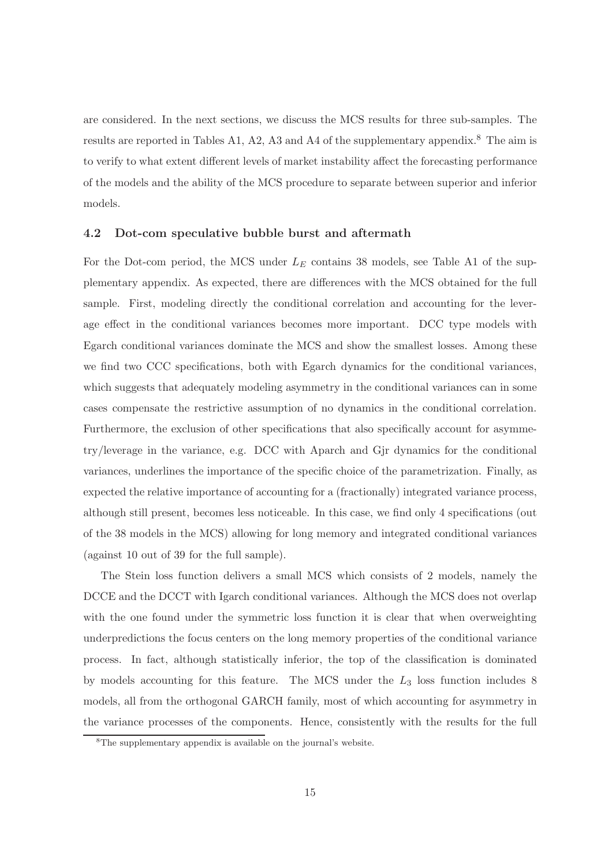are considered. In the next sections, we discuss the MCS results for three sub-samples. The results are reported in Tables A1, A2, A3 and A4 of the supplementary appendix.<sup>8</sup> The aim is to verify to what extent different levels of market instability affect the forecasting performance of the models and the ability of the MCS procedure to separate between superior and inferior models.

#### 4.2 Dot-com speculative bubble burst and aftermath

For the Dot-com period, the MCS under  $L_E$  contains 38 models, see Table A1 of the supplementary appendix. As expected, there are differences with the MCS obtained for the full sample. First, modeling directly the conditional correlation and accounting for the leverage effect in the conditional variances becomes more important. DCC type models with Egarch conditional variances dominate the MCS and show the smallest losses. Among these we find two CCC specifications, both with Egarch dynamics for the conditional variances, which suggests that adequately modeling asymmetry in the conditional variances can in some cases compensate the restrictive assumption of no dynamics in the conditional correlation. Furthermore, the exclusion of other specifications that also specifically account for asymmetry/leverage in the variance, e.g. DCC with Aparch and Gjr dynamics for the conditional variances, underlines the importance of the specific choice of the parametrization. Finally, as expected the relative importance of accounting for a (fractionally) integrated variance process, although still present, becomes less noticeable. In this case, we find only 4 specifications (out of the 38 models in the MCS) allowing for long memory and integrated conditional variances (against 10 out of 39 for the full sample).

The Stein loss function delivers a small MCS which consists of 2 models, namely the DCCE and the DCCT with Igarch conditional variances. Although the MCS does not overlap with the one found under the symmetric loss function it is clear that when overweighting underpredictions the focus centers on the long memory properties of the conditional variance process. In fact, although statistically inferior, the top of the classification is dominated by models accounting for this feature. The MCS under the  $L_3$  loss function includes 8 models, all from the orthogonal GARCH family, most of which accounting for asymmetry in the variance processes of the components. Hence, consistently with the results for the full

<sup>8</sup>The supplementary appendix is available on the journal's website.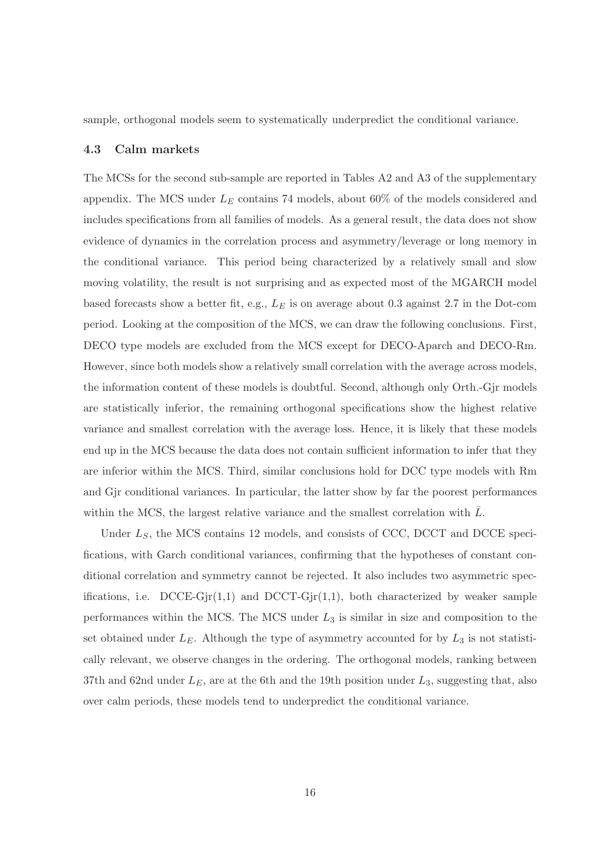sample, orthogonal models seem to systematically underpredict the conditional variance.

#### 4.3 Calm markets

The MCSs for the second sub-sample are reported in Tables A2 and A3 of the supplementary appendix. The MCS under  $L<sub>E</sub>$  contains 74 models, about 60% of the models considered and includes specifications from all families of models. As a general result, the data does not show evidence of dynamics in the correlation process and asymmetry/leverage or long memory in the conditional variance. This period being characterized by a relatively small and slow moving volatility, the result is not surprising and as expected most of the MGARCH model based forecasts show a better fit, e.g.,  $L_E$  is on average about 0.3 against 2.7 in the Dot-com period. Looking at the composition of the MCS, we can draw the following conclusions. First, DECO type models are excluded from the MCS except for DECO-Aparch and DECO-Rm. However, since both models show a relatively small correlation with the average across models, the information content of these models is doubtful. Second, although only Orth.-Gjr models are statistically inferior, the remaining orthogonal specifications show the highest relative variance and smallest correlation with the average loss. Hence, it is likely that these models end up in the MCS because the data does not contain sufficient information to infer that they are inferior within the MCS. Third, similar conclusions hold for DCC type models with Rm and Gjr conditional variances. In particular, the latter show by far the poorest performances within the MCS, the largest relative variance and the smallest correlation with  $L$ .

Under  $L<sub>S</sub>$ , the MCS contains 12 models, and consists of CCC, DCCT and DCCE specifications, with Garch conditional variances, confirming that the hypotheses of constant conditional correlation and symmetry cannot be rejected. It also includes two asymmetric specifications, i.e. DCCE-Gjr $(1,1)$  and DCCT-Gjr $(1,1)$ , both characterized by weaker sample performances within the MCS. The MCS under  $L_3$  is similar in size and composition to the set obtained under  $L<sub>E</sub>$ . Although the type of asymmetry accounted for by  $L<sub>3</sub>$  is not statistically relevant, we observe changes in the ordering. The orthogonal models, ranking between 37th and 62nd under  $L<sub>E</sub>$ , are at the 6th and the 19th position under  $L<sub>3</sub>$ , suggesting that, also over calm periods, these models tend to underpredict the conditional variance.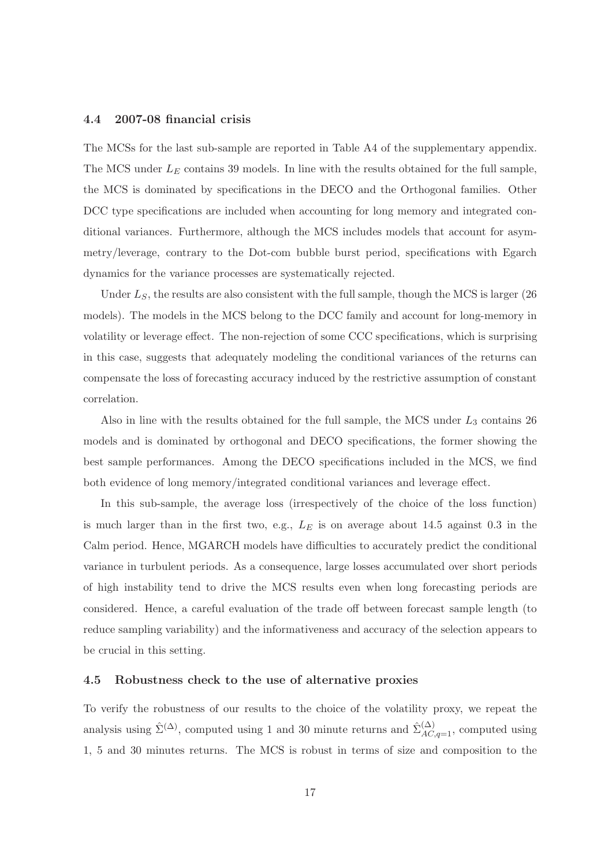### 4.4 2007-08 financial crisis

The MCSs for the last sub-sample are reported in Table A4 of the supplementary appendix. The MCS under  $L<sub>E</sub>$  contains 39 models. In line with the results obtained for the full sample, the MCS is dominated by specifications in the DECO and the Orthogonal families. Other DCC type specifications are included when accounting for long memory and integrated conditional variances. Furthermore, although the MCS includes models that account for asymmetry/leverage, contrary to the Dot-com bubble burst period, specifications with Egarch dynamics for the variance processes are systematically rejected.

Under  $L<sub>S</sub>$ , the results are also consistent with the full sample, though the MCS is larger (26) models). The models in the MCS belong to the DCC family and account for long-memory in volatility or leverage effect. The non-rejection of some CCC specifications, which is surprising in this case, suggests that adequately modeling the conditional variances of the returns can compensate the loss of forecasting accuracy induced by the restrictive assumption of constant correlation.

Also in line with the results obtained for the full sample, the MCS under  $L_3$  contains 26 models and is dominated by orthogonal and DECO specifications, the former showing the best sample performances. Among the DECO specifications included in the MCS, we find both evidence of long memory/integrated conditional variances and leverage effect.

In this sub-sample, the average loss (irrespectively of the choice of the loss function) is much larger than in the first two, e.g.,  $L_E$  is on average about 14.5 against 0.3 in the Calm period. Hence, MGARCH models have difficulties to accurately predict the conditional variance in turbulent periods. As a consequence, large losses accumulated over short periods of high instability tend to drive the MCS results even when long forecasting periods are considered. Hence, a careful evaluation of the trade off between forecast sample length (to reduce sampling variability) and the informativeness and accuracy of the selection appears to be crucial in this setting.

#### 4.5 Robustness check to the use of alternative proxies

To verify the robustness of our results to the choice of the volatility proxy, we repeat the analysis using  $\hat{\Sigma}^{(\Delta)}$ , computed using 1 and 30 minute returns and  $\hat{\Sigma}_{AC,q=1}^{(\Delta)}$ , computed using 1, 5 and 30 minutes returns. The MCS is robust in terms of size and composition to the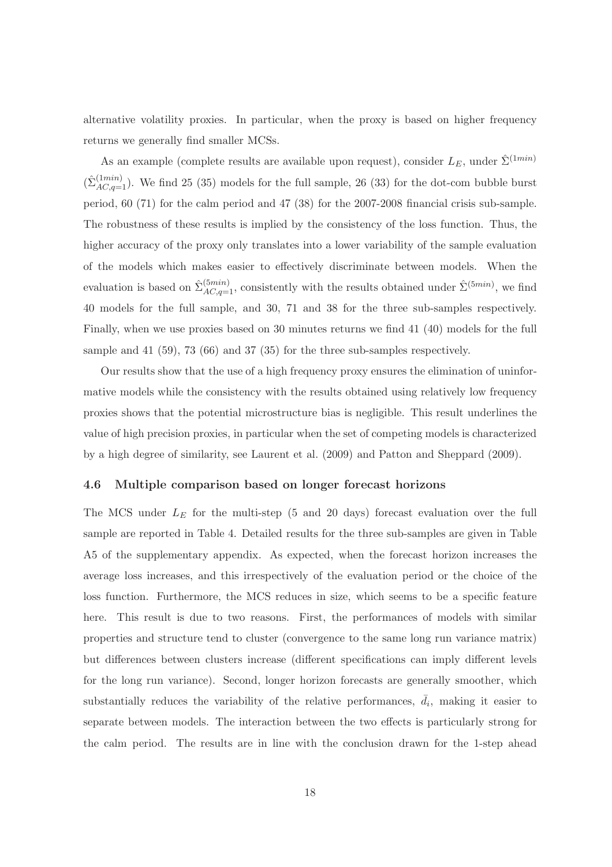alternative volatility proxies. In particular, when the proxy is based on higher frequency returns we generally find smaller MCSs.

As an example (complete results are available upon request), consider  $L_E$ , under  $\hat{\Sigma}^{(1min)}$  $(\hat{\Sigma}_{AC,q=1}^{(1min)})$ . We find 25 (35) models for the full sample, 26 (33) for the dot-com bubble burst period, 60 (71) for the calm period and 47 (38) for the 2007-2008 financial crisis sub-sample. The robustness of these results is implied by the consistency of the loss function. Thus, the higher accuracy of the proxy only translates into a lower variability of the sample evaluation of the models which makes easier to effectively discriminate between models. When the evaluation is based on  $\hat{\Sigma}_{AC,q=1}^{(5min)}$ , consistently with the results obtained under  $\hat{\Sigma}^{(5min)}$ , we find 40 models for the full sample, and 30, 71 and 38 for the three sub-samples respectively. Finally, when we use proxies based on 30 minutes returns we find 41 (40) models for the full sample and 41 (59), 73 (66) and 37 (35) for the three sub-samples respectively.

Our results show that the use of a high frequency proxy ensures the elimination of uninformative models while the consistency with the results obtained using relatively low frequency proxies shows that the potential microstructure bias is negligible. This result underlines the value of high precision proxies, in particular when the set of competing models is characterized by a high degree of similarity, see Laurent et al. (2009) and Patton and Sheppard (2009).

#### 4.6 Multiple comparison based on longer forecast horizons

The MCS under  $L<sub>E</sub>$  for the multi-step (5 and 20 days) forecast evaluation over the full sample are reported in Table 4. Detailed results for the three sub-samples are given in Table A5 of the supplementary appendix. As expected, when the forecast horizon increases the average loss increases, and this irrespectively of the evaluation period or the choice of the loss function. Furthermore, the MCS reduces in size, which seems to be a specific feature here. This result is due to two reasons. First, the performances of models with similar properties and structure tend to cluster (convergence to the same long run variance matrix) but differences between clusters increase (different specifications can imply different levels for the long run variance). Second, longer horizon forecasts are generally smoother, which substantially reduces the variability of the relative performances,  $\overline{d}_i$ , making it easier to separate between models. The interaction between the two effects is particularly strong for the calm period. The results are in line with the conclusion drawn for the 1-step ahead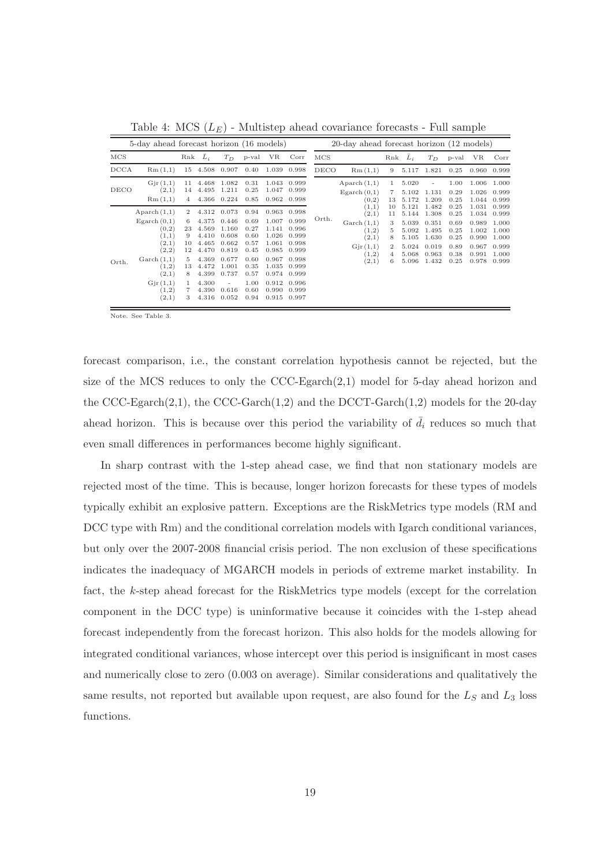|       | 5-day ahead forecast horizon (16 models)                                                                                                                      |                                                                         |                                                                                                          |                                                                                                           |                                                                                              |                                                                                                          | 20-day ahead forecast horizon (12 models)                                                                |       |                                                                                               |                                        |                                                                      |                                                                      |                                                              |                                                                      |                                                                      |  |
|-------|---------------------------------------------------------------------------------------------------------------------------------------------------------------|-------------------------------------------------------------------------|----------------------------------------------------------------------------------------------------------|-----------------------------------------------------------------------------------------------------------|----------------------------------------------------------------------------------------------|----------------------------------------------------------------------------------------------------------|----------------------------------------------------------------------------------------------------------|-------|-----------------------------------------------------------------------------------------------|----------------------------------------|----------------------------------------------------------------------|----------------------------------------------------------------------|--------------------------------------------------------------|----------------------------------------------------------------------|----------------------------------------------------------------------|--|
| MCS   |                                                                                                                                                               | Rnk                                                                     | $L_i$                                                                                                    | $T_D$                                                                                                     | p-val                                                                                        | VR                                                                                                       | Corr                                                                                                     | MCS   |                                                                                               | Rnk                                    | $L_i$                                                                | $T_D$                                                                | p-val                                                        | VR                                                                   | Corr                                                                 |  |
| DCCA  | Rm(1,1)                                                                                                                                                       | 15                                                                      | 4.508                                                                                                    | 0.907                                                                                                     | 0.40                                                                                         | 1.039                                                                                                    | 0.998                                                                                                    | DECO  | Rm(1,1)                                                                                       | 9                                      | 5.117                                                                | 1.821                                                                | 0.25                                                         | 0.960                                                                | 0.999                                                                |  |
| DECO  | Gjr(1,1)<br>(2,1)<br>Rm(1,1)                                                                                                                                  | 11<br>14<br>$\overline{4}$                                              | 4.468<br>4.495<br>4.366                                                                                  | 1.082<br>1.211<br>0.224                                                                                   | 0.31<br>0.25<br>0.85                                                                         | 1.043<br>1.047<br>0.962 0.998                                                                            | 0.999<br>0.999                                                                                           |       | Aparch $(1,1)$<br>Egarch(0,1)<br>(0,2)                                                        | 1<br>7<br>13                           | 5.020<br>5.102<br>5.172                                              | 1.131<br>1.209                                                       | 1.00<br>0.29<br>0.25                                         | 1.006<br>1.026<br>1.044                                              | 1.000<br>0.999<br>0.999                                              |  |
| Orth. | Aparch $(1,1)$<br>E <sub>g</sub> arch(0,1)<br>(0,2)<br>(1,1)<br>(2,1)<br>(2,2)<br>$\operatorname{Garch}(1,1)$<br>(1,2)<br>(2,1)<br>Gjr(1,1)<br>(1,2)<br>(2,1) | 2<br>6<br>23<br>9<br>10<br>12<br>5<br>13<br>8<br>$\mathbf{1}$<br>7<br>3 | 4.312<br>4.375<br>4.569<br>4.410<br>4.465<br>4.470<br>4.369<br>4.472<br>4.399<br>4.300<br>4.390<br>4.316 | 0.073<br>0.446<br>1.160<br>0.608<br>0.662<br>0.819<br>0.677<br>1.001<br>0.737<br>$\sim$<br>0.616<br>0.052 | 0.94<br>0.69<br>0.27<br>0.60<br>0.57<br>0.45<br>0.60<br>0.35<br>0.57<br>1.00<br>0.60<br>0.94 | 0.963<br>1.007<br>1.141<br>1.026<br>1.061<br>0.985<br>0.967<br>1.035<br>0.974<br>0.912<br>0.990<br>0.915 | 0.998<br>0.999<br>0.996<br>0.999<br>0.998<br>0.999<br>0.998<br>0.999<br>0.999<br>0.996<br>0.999<br>0.997 | Orth. | (1,1)<br>(2,1)<br>$\operatorname{Garch}(1,1)$<br>(1,2)<br>(2,1)<br>Gjr(1,1)<br>(1,2)<br>(2,1) | 10<br>11<br>3<br>5<br>8<br>2<br>4<br>6 | 5.121<br>5.144<br>5.039<br>5.092<br>5.105<br>5.024<br>5.068<br>5.096 | 1.482<br>1.308<br>0.351<br>1.495<br>1.630<br>0.019<br>0.963<br>1.432 | 0.25<br>0.25<br>0.69<br>0.25<br>0.25<br>0.89<br>0.38<br>0.25 | 1.031<br>1.034<br>0.989<br>1.002<br>0.990<br>0.967<br>0.991<br>0.978 | 0.999<br>0.999<br>1.000<br>1.000<br>1.000<br>0.999<br>1.000<br>0.999 |  |

Table 4: MCS  $(L_E)$  - Multistep ahead covariance forecasts - Full sample

Note. See Table 3.

forecast comparison, i.e., the constant correlation hypothesis cannot be rejected, but the size of the MCS reduces to only the CCC-Egarch(2,1) model for 5-day ahead horizon and the CCC-Egarch $(2,1)$ , the CCC-Garch $(1,2)$  and the DCCT-Garch $(1,2)$  models for the 20-day ahead horizon. This is because over this period the variability of  $\overline{d}_i$  reduces so much that even small differences in performances become highly significant.

In sharp contrast with the 1-step ahead case, we find that non stationary models are rejected most of the time. This is because, longer horizon forecasts for these types of models typically exhibit an explosive pattern. Exceptions are the RiskMetrics type models (RM and DCC type with Rm) and the conditional correlation models with Igarch conditional variances, but only over the 2007-2008 financial crisis period. The non exclusion of these specifications indicates the inadequacy of MGARCH models in periods of extreme market instability. In fact, the k-step ahead forecast for the RiskMetrics type models (except for the correlation component in the DCC type) is uninformative because it coincides with the 1-step ahead forecast independently from the forecast horizon. This also holds for the models allowing for integrated conditional variances, whose intercept over this period is insignificant in most cases and numerically close to zero (0.003 on average). Similar considerations and qualitatively the same results, not reported but available upon request, are also found for the  $L_S$  and  $L_3$  loss functions.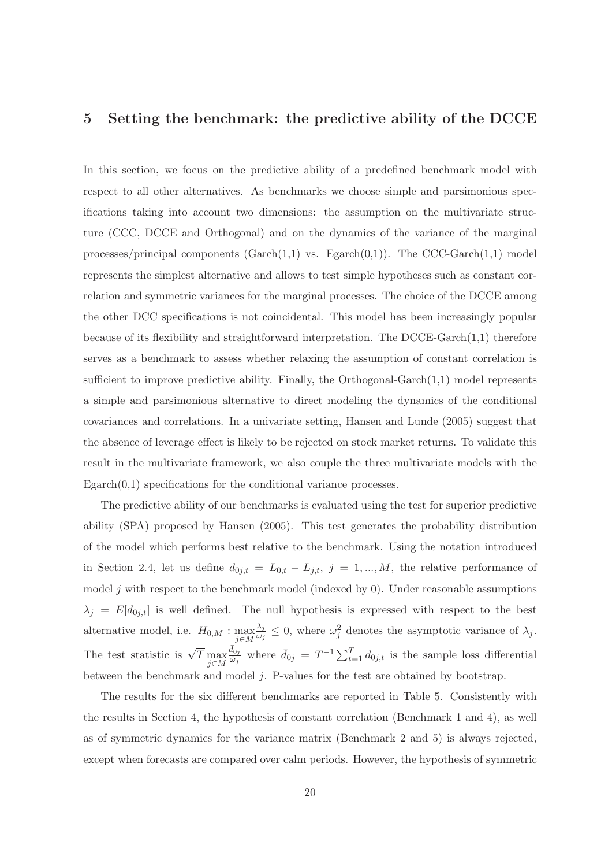## 5 Setting the benchmark: the predictive ability of the DCCE

In this section, we focus on the predictive ability of a predefined benchmark model with respect to all other alternatives. As benchmarks we choose simple and parsimonious specifications taking into account two dimensions: the assumption on the multivariate structure (CCC, DCCE and Orthogonal) and on the dynamics of the variance of the marginal processes/principal components ( $\text{Garch}(1,1)$  vs.  $\text{Egarch}(0,1)$ ). The CCC-Garch $(1,1)$  model represents the simplest alternative and allows to test simple hypotheses such as constant correlation and symmetric variances for the marginal processes. The choice of the DCCE among the other DCC specifications is not coincidental. This model has been increasingly popular because of its flexibility and straightforward interpretation. The DCCE-Garch $(1,1)$  therefore serves as a benchmark to assess whether relaxing the assumption of constant correlation is sufficient to improve predictive ability. Finally, the Orthogonal-Garch(1,1) model represents a simple and parsimonious alternative to direct modeling the dynamics of the conditional covariances and correlations. In a univariate setting, Hansen and Lunde (2005) suggest that the absence of leverage effect is likely to be rejected on stock market returns. To validate this result in the multivariate framework, we also couple the three multivariate models with the  $E<sub>g</sub>arch(0,1)$  specifications for the conditional variance processes.

The predictive ability of our benchmarks is evaluated using the test for superior predictive ability (SPA) proposed by Hansen (2005). This test generates the probability distribution of the model which performs best relative to the benchmark. Using the notation introduced in Section 2.4, let us define  $d_{0j,t} = L_{0,t} - L_{j,t}$ ,  $j = 1,...,M$ , the relative performance of model  $j$  with respect to the benchmark model (indexed by 0). Under reasonable assumptions  $\lambda_j = E[d_{0j,t}]$  is well defined. The null hypothesis is expressed with respect to the best alternative model, i.e.  $H_{0,M}$  :  $\max_{j \in M}$  $\lambda_j$  $\frac{\lambda_j}{\omega_j} \leq 0$ , where  $\omega_j^2$  denotes the asymptotic variance of  $\lambda_j$ . The test statistic is  $\sqrt{T} \max_{j \in M}$  $\frac{\bar{d}_{0j}}{\hat{\omega}_j}$  where  $\bar{d}_{0j} = T^{-1} \sum_{t=1}^T d_{0j,t}$  is the sample loss differential between the benchmark and model j. P-values for the test are obtained by bootstrap.

The results for the six different benchmarks are reported in Table 5. Consistently with the results in Section 4, the hypothesis of constant correlation (Benchmark 1 and 4), as well as of symmetric dynamics for the variance matrix (Benchmark 2 and 5) is always rejected, except when forecasts are compared over calm periods. However, the hypothesis of symmetric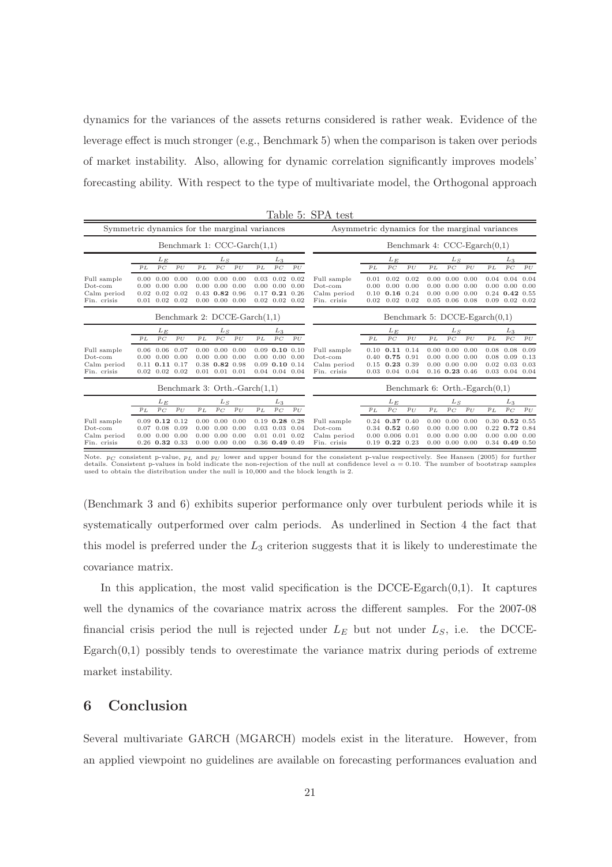dynamics for the variances of the assets returns considered is rather weak. Evidence of the leverage effect is much stronger (e.g., Benchmark 5) when the comparison is taken over periods of market instability. Also, allowing for dynamic correlation significantly improves models' forecasting ability. With respect to the type of multivariate model, the Orthogonal approach

|                                                         |                                  |                                                                                                    |              |           |                                                                                                                  |       |                                |                                                                                       |              | Table 5: SPA test                                       |                                 |                                                                                       |                      |                                  |                                                                                          |                              |       |                                                                              |                      |
|---------------------------------------------------------|----------------------------------|----------------------------------------------------------------------------------------------------|--------------|-----------|------------------------------------------------------------------------------------------------------------------|-------|--------------------------------|---------------------------------------------------------------------------------------|--------------|---------------------------------------------------------|---------------------------------|---------------------------------------------------------------------------------------|----------------------|----------------------------------|------------------------------------------------------------------------------------------|------------------------------|-------|------------------------------------------------------------------------------|----------------------|
| Symmetric dynamics for the marginal variances           |                                  |                                                                                                    |              |           |                                                                                                                  |       |                                |                                                                                       |              | Asymmetric dynamics for the marginal variances          |                                 |                                                                                       |                      |                                  |                                                                                          |                              |       |                                                                              |                      |
|                                                         | Benchmark 1: $CCC-Garch(1,1)$    |                                                                                                    |              |           |                                                                                                                  |       |                                |                                                                                       |              |                                                         | Benchmark 4: $CCC-Egarch(0,1)$  |                                                                                       |                      |                                  |                                                                                          |                              |       |                                                                              |                      |
|                                                         |                                  | $L_E$                                                                                              |              |           | $L_S$                                                                                                            |       |                                | $L_3$                                                                                 |              |                                                         |                                 | $L_E$                                                                                 |                      |                                  | $L_S$                                                                                    |                              | $L_3$ |                                                                              |                      |
|                                                         | PL                               | $p_{C}$                                                                                            | $p_U$        | $p_{\,L}$ | P C                                                                                                              | $p_U$ | $p_L$                          | $\mathcal{P} \mathcal{C}$                                                             | $p_U$        |                                                         | $p_L$                           | $\mathfrak{p}_C$                                                                      | $p_U$                | PL                               | $p_{C}$                                                                                  | $p_U$                        | $p_L$ | $p_{C}$                                                                      | $p_U$                |
| Full sample<br>$Dot$ -com<br>Calm period<br>Fin. crisis |                                  | $0.00\quad 0.00\quad 0.00$<br>$0.00 \quad 0.00$<br>$0.02 \quad 0.02$<br>$0.01$ $0.02$ $0.02$       | 0.00<br>0.02 |           | $0.00 \quad 0.00 \quad 0.00$<br>$0.00 \quad 0.00 \quad 0.00$<br>$0.43$ 0.82 0.96<br>$0.00 \quad 0.00 \quad 0.00$ |       |                                | $0.03 \quad 0.02$<br>$0.00\quad 0.00$<br>$0.17$ $0.21$ $0.26$<br>$0.02$ $0.02$ $0.02$ | 0.02<br>0.00 | Full sample<br>Dot-com<br>Calm period<br>Fin. crisis    | 0.01<br>0.00<br>0.10<br>0.02    | 0.02<br>0.00<br>$0.16$ 0.24<br>0.02                                                   | 0.02<br>0.00<br>0.02 | 0.00<br>$0.00 -$<br>0.00<br>0.05 | 0.00<br>0.00<br>0.00<br>0.06                                                             | 0.00<br>0.00<br>0.00<br>0.08 |       | $0.04$ 0.04<br>$0.00 \quad 0.00$<br>$0.24$ 0.42 0.55<br>$0.09$ $0.02$ $0.02$ | 0.04<br>0.00         |
|                                                         |                                  |                                                                                                    |              |           |                                                                                                                  |       | Benchmark 2: $DCCE-Garch(1,1)$ |                                                                                       |              |                                                         | Benchmark 5: $DCCE-Egarch(0,1)$ |                                                                                       |                      |                                  |                                                                                          |                              |       |                                                                              |                      |
|                                                         | $L_E$                            |                                                                                                    |              | $L_S$     |                                                                                                                  | $L_3$ |                                |                                                                                       |              | $L_E$                                                   |                                 |                                                                                       | $L_S$                |                                  |                                                                                          | $L_3$                        |       |                                                                              |                      |
|                                                         | PL                               | $p_{C}$                                                                                            | $p_U$        | PL        | $p_C$                                                                                                            | $p_U$ | PL                             | $\mathfrak{p}_C$                                                                      | $p_U$        |                                                         | $p_L$                           | $p_{C}$                                                                               | $p_U$                | $p_L$                            | $\mathfrak{p}_C$                                                                         | $p_U$                        | PL    | $p_C$                                                                        | $p_U$                |
| Full sample<br>Dot-com<br>Calm period<br>Fin. crisis    |                                  | $0.06$ $0.06$ $0.07$<br>$0.00\quad 0.00\quad 0.00$<br>$0.11$ $0.11$ $0.17$<br>$0.02$ $0.02$ $0.02$ |              |           | $0.00 \quad 0.00 \quad 0.00$<br>$0.00\quad 0.00\quad 0.00$<br>$0.38$ $0.82$ $0.98$<br>$0.01$ $0.01$ $0.01$       |       |                                | $0.09$ 0.10 $0.10$<br>$0.00 \quad 0.00$<br>$0.09$ 0.10 $0.14$<br>$0.04$ $0.04$ $0.04$ | 0.00         | Full sample<br>$Dot$ -com<br>Calm period<br>Fin. crisis | 0.03                            | $0.10$ $0.11$ $0.14$<br>$0.40$ $0.75$ $0.91$<br>$0.15$ $0.23$ $0.39$<br>0.04          | 0.04                 | $0.00 -$                         | $0.00 \quad 0.00 \quad 0.00$<br>0.00<br>$0.00 \quad 0.00 \quad 0.00$<br>$0.16$ 0.23 0.46 | 0.00                         | 0.08  | $0.08$ 0.08<br>0.09<br>$0.02 \quad 0.03$<br>$0.03$ $0.04$ $0.04$             | 0.09<br>0.13<br>0.03 |
|                                                         | Benchmark 3: Orth.-Garch $(1,1)$ |                                                                                                    |              |           |                                                                                                                  |       |                                | Benchmark 6: Orth.-Egarch $(0,1)$                                                     |              |                                                         |                                 |                                                                                       |                      |                                  |                                                                                          |                              |       |                                                                              |                      |
|                                                         |                                  | $L_E$                                                                                              |              | $L_S$     |                                                                                                                  |       | $L_3$                          |                                                                                       |              |                                                         | $L_E$                           |                                                                                       |                      | $L_S$                            |                                                                                          | $L_3$                        |       |                                                                              |                      |
|                                                         | $p_L$                            | $p_C$                                                                                              | $p_U$        | $p_L$     | $\mathfrak{p}_C$                                                                                                 | $p_U$ | $p_L$                          | $\mathfrak{p}_C$                                                                      | $p_U$        |                                                         | $p_L$                           | $p_{C}$                                                                               | $p_U$                | $p_L$                            | $p_C$                                                                                    | $p_U$                        | $p_L$ | $p_{C}$                                                                      | $p_{U}$              |
| Full sample<br>$Dot$ -com<br>Calm period<br>Fin. crisis |                                  | $0.09$ $0.12$ $0.12$<br>$0.07$ 0.08<br>$0.00\quad 0.00\quad 0.00$<br>$0.26$ $0.32$ $0.33$          | 0.09         |           | $0.00 \quad 0.00 \quad 0.00$<br>$0.00\ 0.00$<br>$0.00 \quad 0.00 \quad 0.00$<br>$0.00 \quad 0.00 \quad 0.00$     | 0.00  | 0.03                           | $0.19$ $0.28$ $0.28$<br>0.03<br>$0.01$ $0.01$<br>$0.36$ 0.49 0.49                     | 0.04<br>0.02 | Full sample<br>$Dot-com$<br>Calm period<br>Fin. crisis  |                                 | $0.24$ 0.37 0.40<br>$0.34$ 0.52 0.60<br>$0.00$ $0.006$ $0.01$<br>$0.19$ $0.22$ $0.23$ |                      | 0.00<br>0.00                     | $0.00 \quad 0.00 \quad 0.00$<br>0.00<br>$0.00 \quad 0.00 \quad 0.00$<br>$0.00\ 0.00$     | 0.00                         |       | $0.30$ $0.52$ $0.55$<br>$0.22$ 0.72 0.84<br>$0.00\ 0.00$<br>$0.34$ 0.49 0.50 | 0.00                 |

Note.  $p_C$  consistent p-value,  $p_L$  and  $p_U$  lower and upper bound for the consistent p-value respectively. See Hansen (2005) for further<br>details. Consistent p-values in bold indicate the non-rejection of the null at conf

(Benchmark 3 and 6) exhibits superior performance only over turbulent periods while it is systematically outperformed over calm periods. As underlined in Section 4 the fact that this model is preferred under the  $L_3$  criterion suggests that it is likely to underestimate the covariance matrix.

In this application, the most valid specification is the DCCE-Egarch $(0,1)$ . It captures well the dynamics of the covariance matrix across the different samples. For the 2007-08 financial crisis period the null is rejected under  $L_E$  but not under  $L_S$ , i.e. the DCCE- $Egarch(0,1)$  possibly tends to overestimate the variance matrix during periods of extreme market instability.

## 6 Conclusion

Several multivariate GARCH (MGARCH) models exist in the literature. However, from an applied viewpoint no guidelines are available on forecasting performances evaluation and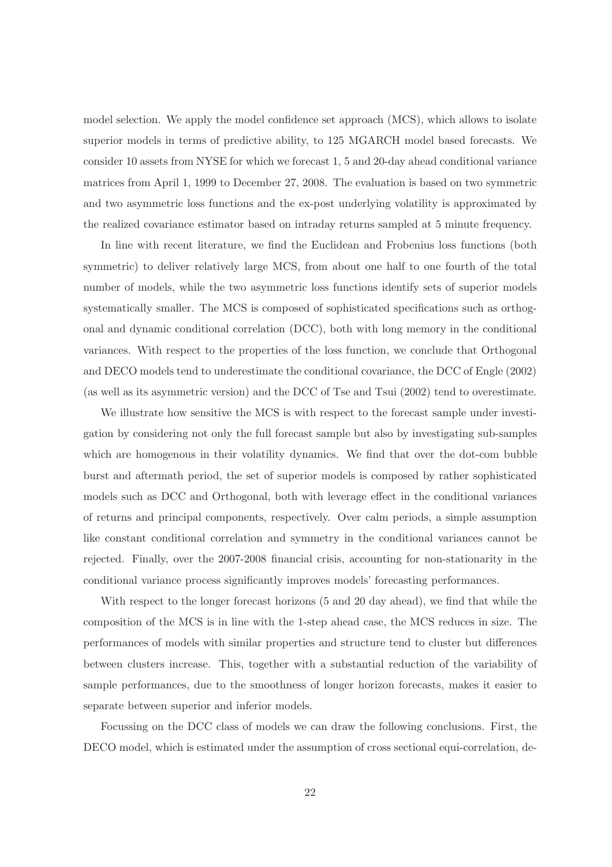model selection. We apply the model confidence set approach (MCS), which allows to isolate superior models in terms of predictive ability, to 125 MGARCH model based forecasts. We consider 10 assets from NYSE for which we forecast 1, 5 and 20-day ahead conditional variance matrices from April 1, 1999 to December 27, 2008. The evaluation is based on two symmetric and two asymmetric loss functions and the ex-post underlying volatility is approximated by the realized covariance estimator based on intraday returns sampled at 5 minute frequency.

In line with recent literature, we find the Euclidean and Frobenius loss functions (both symmetric) to deliver relatively large MCS, from about one half to one fourth of the total number of models, while the two asymmetric loss functions identify sets of superior models systematically smaller. The MCS is composed of sophisticated specifications such as orthogonal and dynamic conditional correlation (DCC), both with long memory in the conditional variances. With respect to the properties of the loss function, we conclude that Orthogonal and DECO models tend to underestimate the conditional covariance, the DCC of Engle (2002) (as well as its asymmetric version) and the DCC of Tse and Tsui (2002) tend to overestimate.

We illustrate how sensitive the MCS is with respect to the forecast sample under investigation by considering not only the full forecast sample but also by investigating sub-samples which are homogenous in their volatility dynamics. We find that over the dot-com bubble burst and aftermath period, the set of superior models is composed by rather sophisticated models such as DCC and Orthogonal, both with leverage effect in the conditional variances of returns and principal components, respectively. Over calm periods, a simple assumption like constant conditional correlation and symmetry in the conditional variances cannot be rejected. Finally, over the 2007-2008 financial crisis, accounting for non-stationarity in the conditional variance process significantly improves models' forecasting performances.

With respect to the longer forecast horizons (5 and 20 day ahead), we find that while the composition of the MCS is in line with the 1-step ahead case, the MCS reduces in size. The performances of models with similar properties and structure tend to cluster but differences between clusters increase. This, together with a substantial reduction of the variability of sample performances, due to the smoothness of longer horizon forecasts, makes it easier to separate between superior and inferior models.

Focussing on the DCC class of models we can draw the following conclusions. First, the DECO model, which is estimated under the assumption of cross sectional equi-correlation, de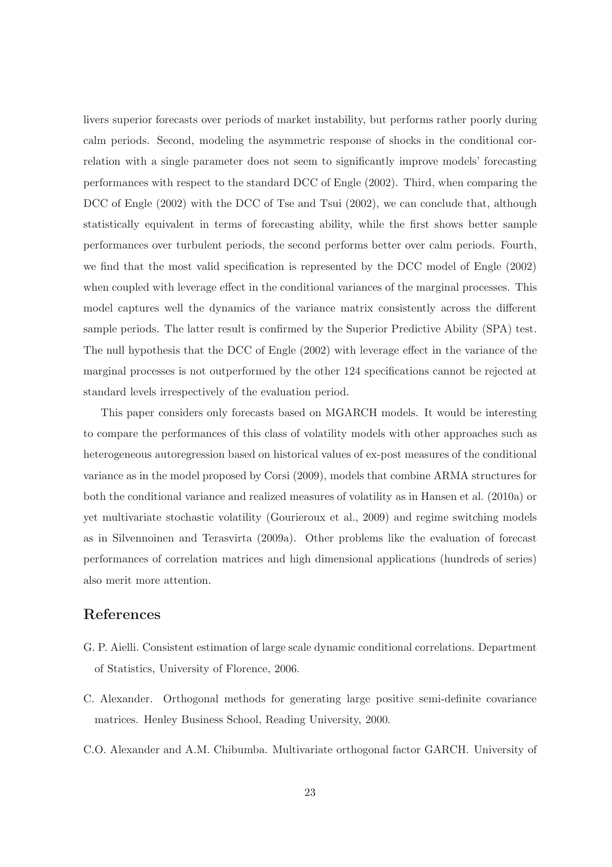livers superior forecasts over periods of market instability, but performs rather poorly during calm periods. Second, modeling the asymmetric response of shocks in the conditional correlation with a single parameter does not seem to significantly improve models' forecasting performances with respect to the standard DCC of Engle (2002). Third, when comparing the DCC of Engle (2002) with the DCC of Tse and Tsui (2002), we can conclude that, although statistically equivalent in terms of forecasting ability, while the first shows better sample performances over turbulent periods, the second performs better over calm periods. Fourth, we find that the most valid specification is represented by the DCC model of Engle (2002) when coupled with leverage effect in the conditional variances of the marginal processes. This model captures well the dynamics of the variance matrix consistently across the different sample periods. The latter result is confirmed by the Superior Predictive Ability (SPA) test. The null hypothesis that the DCC of Engle (2002) with leverage effect in the variance of the marginal processes is not outperformed by the other 124 specifications cannot be rejected at standard levels irrespectively of the evaluation period.

This paper considers only forecasts based on MGARCH models. It would be interesting to compare the performances of this class of volatility models with other approaches such as heterogeneous autoregression based on historical values of ex-post measures of the conditional variance as in the model proposed by Corsi (2009), models that combine ARMA structures for both the conditional variance and realized measures of volatility as in Hansen et al. (2010a) or yet multivariate stochastic volatility (Gourieroux et al., 2009) and regime switching models as in Silvennoinen and Terasvirta (2009a). Other problems like the evaluation of forecast performances of correlation matrices and high dimensional applications (hundreds of series) also merit more attention.

# References

- G. P. Aielli. Consistent estimation of large scale dynamic conditional correlations. Department of Statistics, University of Florence, 2006.
- C. Alexander. Orthogonal methods for generating large positive semi-definite covariance matrices. Henley Business School, Reading University, 2000.
- C.O. Alexander and A.M. Chibumba. Multivariate orthogonal factor GARCH. University of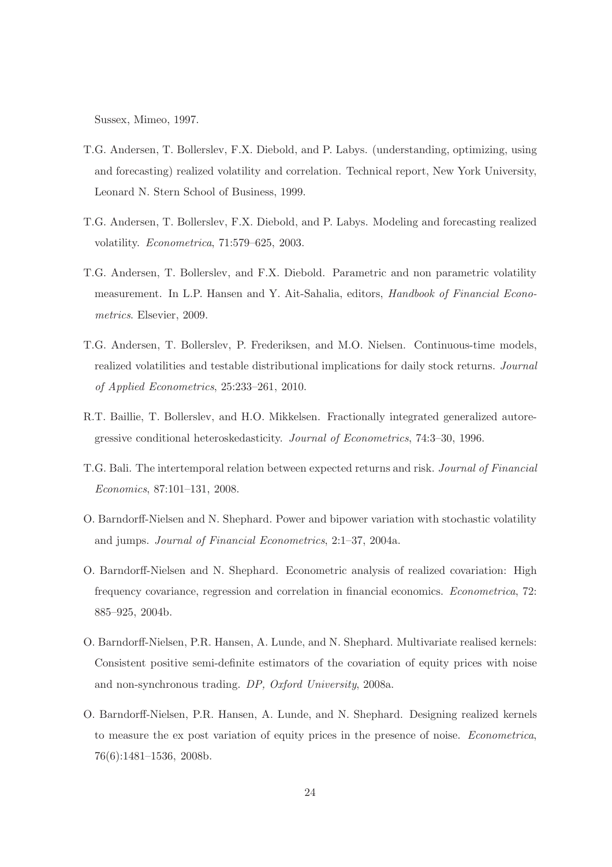Sussex, Mimeo, 1997.

- T.G. Andersen, T. Bollerslev, F.X. Diebold, and P. Labys. (understanding, optimizing, using and forecasting) realized volatility and correlation. Technical report, New York University, Leonard N. Stern School of Business, 1999.
- T.G. Andersen, T. Bollerslev, F.X. Diebold, and P. Labys. Modeling and forecasting realized volatility. Econometrica, 71:579–625, 2003.
- T.G. Andersen, T. Bollerslev, and F.X. Diebold. Parametric and non parametric volatility measurement. In L.P. Hansen and Y. Ait-Sahalia, editors, Handbook of Financial Econometrics. Elsevier, 2009.
- T.G. Andersen, T. Bollerslev, P. Frederiksen, and M.O. Nielsen. Continuous-time models, realized volatilities and testable distributional implications for daily stock returns. Journal of Applied Econometrics, 25:233–261, 2010.
- R.T. Baillie, T. Bollerslev, and H.O. Mikkelsen. Fractionally integrated generalized autoregressive conditional heteroskedasticity. Journal of Econometrics, 74:3–30, 1996.
- T.G. Bali. The intertemporal relation between expected returns and risk. Journal of Financial Economics, 87:101–131, 2008.
- O. Barndorff-Nielsen and N. Shephard. Power and bipower variation with stochastic volatility and jumps. Journal of Financial Econometrics, 2:1–37, 2004a.
- O. Barndorff-Nielsen and N. Shephard. Econometric analysis of realized covariation: High frequency covariance, regression and correlation in financial economics. *Econometrica*, 72: 885–925, 2004b.
- O. Barndorff-Nielsen, P.R. Hansen, A. Lunde, and N. Shephard. Multivariate realised kernels: Consistent positive semi-definite estimators of the covariation of equity prices with noise and non-synchronous trading. DP, Oxford University, 2008a.
- O. Barndorff-Nielsen, P.R. Hansen, A. Lunde, and N. Shephard. Designing realized kernels to measure the ex post variation of equity prices in the presence of noise. Econometrica, 76(6):1481–1536, 2008b.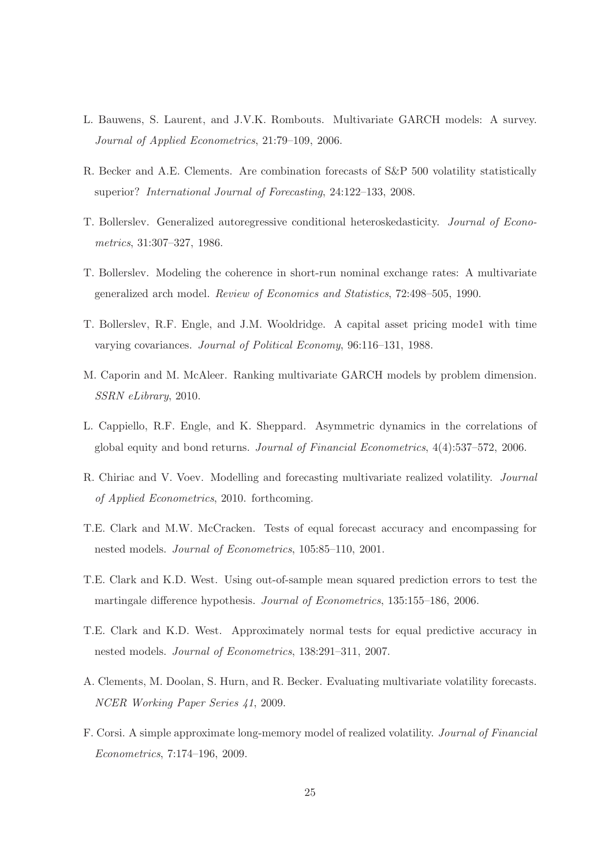- L. Bauwens, S. Laurent, and J.V.K. Rombouts. Multivariate GARCH models: A survey. Journal of Applied Econometrics, 21:79–109, 2006.
- R. Becker and A.E. Clements. Are combination forecasts of S&P 500 volatility statistically superior? International Journal of Forecasting, 24:122–133, 2008.
- T. Bollerslev. Generalized autoregressive conditional heteroskedasticity. Journal of Econometrics, 31:307–327, 1986.
- T. Bollerslev. Modeling the coherence in short-run nominal exchange rates: A multivariate generalized arch model. Review of Economics and Statistics, 72:498–505, 1990.
- T. Bollerslev, R.F. Engle, and J.M. Wooldridge. A capital asset pricing mode1 with time varying covariances. Journal of Political Economy, 96:116–131, 1988.
- M. Caporin and M. McAleer. Ranking multivariate GARCH models by problem dimension. SSRN eLibrary, 2010.
- L. Cappiello, R.F. Engle, and K. Sheppard. Asymmetric dynamics in the correlations of global equity and bond returns. Journal of Financial Econometrics, 4(4):537–572, 2006.
- R. Chiriac and V. Voev. Modelling and forecasting multivariate realized volatility. Journal of Applied Econometrics, 2010. forthcoming.
- T.E. Clark and M.W. McCracken. Tests of equal forecast accuracy and encompassing for nested models. Journal of Econometrics, 105:85–110, 2001.
- T.E. Clark and K.D. West. Using out-of-sample mean squared prediction errors to test the martingale difference hypothesis. Journal of Econometrics, 135:155–186, 2006.
- T.E. Clark and K.D. West. Approximately normal tests for equal predictive accuracy in nested models. Journal of Econometrics, 138:291–311, 2007.
- A. Clements, M. Doolan, S. Hurn, and R. Becker. Evaluating multivariate volatility forecasts. NCER Working Paper Series 41, 2009.
- F. Corsi. A simple approximate long-memory model of realized volatility. Journal of Financial Econometrics, 7:174–196, 2009.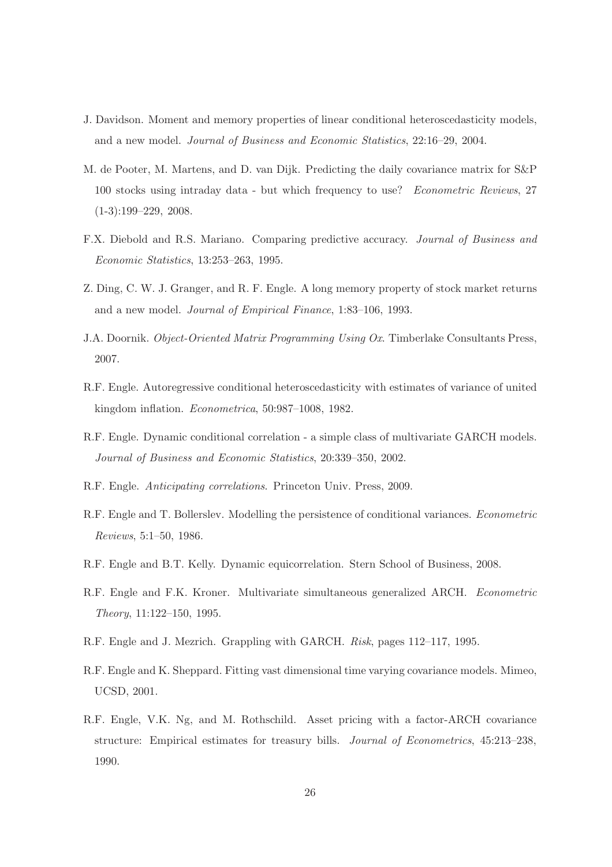- J. Davidson. Moment and memory properties of linear conditional heteroscedasticity models, and a new model. Journal of Business and Economic Statistics, 22:16–29, 2004.
- M. de Pooter, M. Martens, and D. van Dijk. Predicting the daily covariance matrix for S&P 100 stocks using intraday data - but which frequency to use? Econometric Reviews, 27 (1-3):199–229, 2008.
- F.X. Diebold and R.S. Mariano. Comparing predictive accuracy. Journal of Business and Economic Statistics, 13:253–263, 1995.
- Z. Ding, C. W. J. Granger, and R. F. Engle. A long memory property of stock market returns and a new model. Journal of Empirical Finance, 1:83–106, 1993.
- J.A. Doornik. Object-Oriented Matrix Programming Using Ox. Timberlake Consultants Press, 2007.
- R.F. Engle. Autoregressive conditional heteroscedasticity with estimates of variance of united kingdom inflation. Econometrica, 50:987–1008, 1982.
- R.F. Engle. Dynamic conditional correlation a simple class of multivariate GARCH models. Journal of Business and Economic Statistics, 20:339–350, 2002.
- R.F. Engle. Anticipating correlations. Princeton Univ. Press, 2009.
- R.F. Engle and T. Bollerslev. Modelling the persistence of conditional variances. Econometric Reviews, 5:1–50, 1986.
- R.F. Engle and B.T. Kelly. Dynamic equicorrelation. Stern School of Business, 2008.
- R.F. Engle and F.K. Kroner. Multivariate simultaneous generalized ARCH. Econometric Theory, 11:122–150, 1995.
- R.F. Engle and J. Mezrich. Grappling with GARCH. Risk, pages 112–117, 1995.
- R.F. Engle and K. Sheppard. Fitting vast dimensional time varying covariance models. Mimeo, UCSD, 2001.
- R.F. Engle, V.K. Ng, and M. Rothschild. Asset pricing with a factor-ARCH covariance structure: Empirical estimates for treasury bills. Journal of Econometrics, 45:213–238, 1990.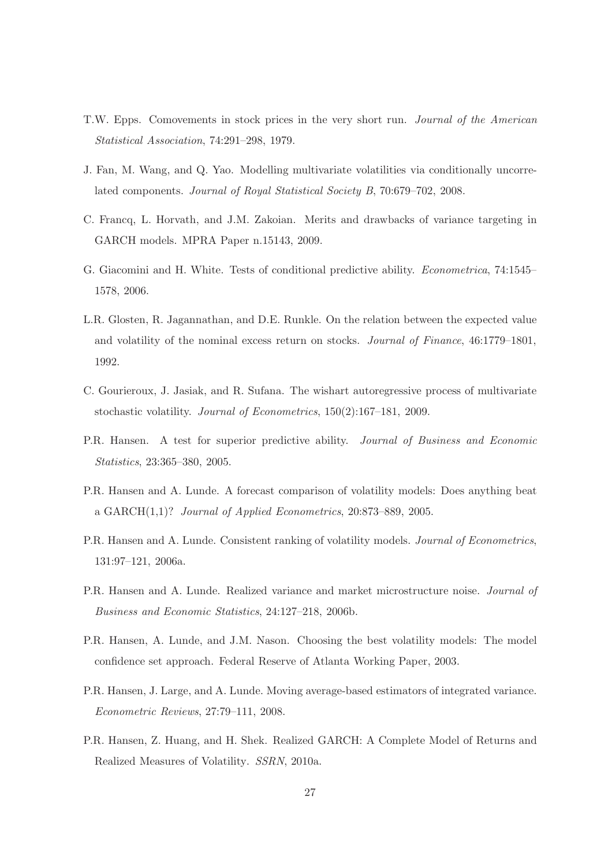- T.W. Epps. Comovements in stock prices in the very short run. Journal of the American Statistical Association, 74:291–298, 1979.
- J. Fan, M. Wang, and Q. Yao. Modelling multivariate volatilities via conditionally uncorrelated components. Journal of Royal Statistical Society B, 70:679–702, 2008.
- C. Francq, L. Horvath, and J.M. Zakoian. Merits and drawbacks of variance targeting in GARCH models. MPRA Paper n.15143, 2009.
- G. Giacomini and H. White. Tests of conditional predictive ability. Econometrica, 74:1545– 1578, 2006.
- L.R. Glosten, R. Jagannathan, and D.E. Runkle. On the relation between the expected value and volatility of the nominal excess return on stocks. Journal of Finance, 46:1779–1801, 1992.
- C. Gourieroux, J. Jasiak, and R. Sufana. The wishart autoregressive process of multivariate stochastic volatility. Journal of Econometrics, 150(2):167–181, 2009.
- P.R. Hansen. A test for superior predictive ability. Journal of Business and Economic Statistics, 23:365–380, 2005.
- P.R. Hansen and A. Lunde. A forecast comparison of volatility models: Does anything beat a GARCH(1,1)? Journal of Applied Econometrics, 20:873–889, 2005.
- P.R. Hansen and A. Lunde. Consistent ranking of volatility models. Journal of Econometrics, 131:97–121, 2006a.
- P.R. Hansen and A. Lunde. Realized variance and market microstructure noise. Journal of Business and Economic Statistics, 24:127–218, 2006b.
- P.R. Hansen, A. Lunde, and J.M. Nason. Choosing the best volatility models: The model confidence set approach. Federal Reserve of Atlanta Working Paper, 2003.
- P.R. Hansen, J. Large, and A. Lunde. Moving average-based estimators of integrated variance. Econometric Reviews, 27:79–111, 2008.
- P.R. Hansen, Z. Huang, and H. Shek. Realized GARCH: A Complete Model of Returns and Realized Measures of Volatility. SSRN, 2010a.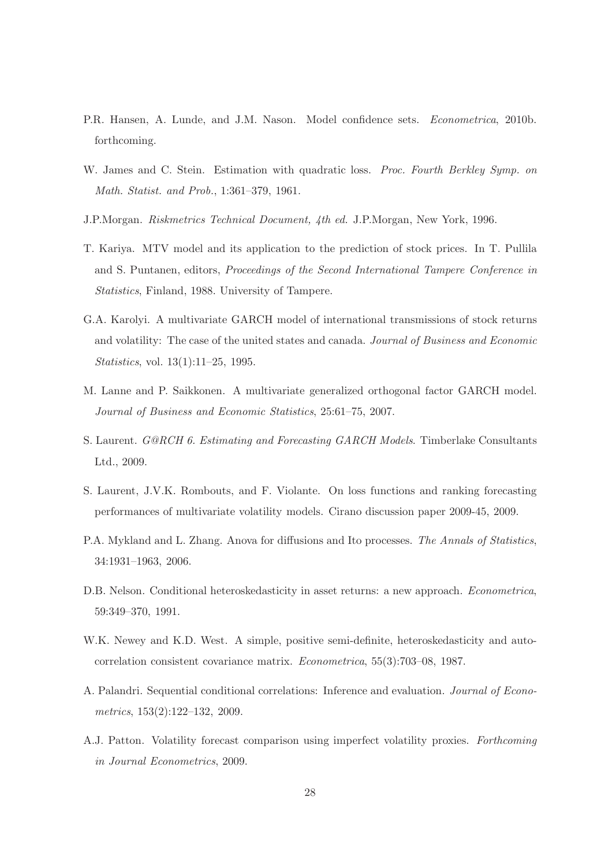- P.R. Hansen, A. Lunde, and J.M. Nason. Model confidence sets. *Econometrica*, 2010b. forthcoming.
- W. James and C. Stein. Estimation with quadratic loss. *Proc. Fourth Berkley Symp. on* Math. Statist. and Prob., 1:361–379, 1961.
- J.P.Morgan. Riskmetrics Technical Document, 4th ed. J.P.Morgan, New York, 1996.
- T. Kariya. MTV model and its application to the prediction of stock prices. In T. Pullila and S. Puntanen, editors, Proceedings of the Second International Tampere Conference in Statistics, Finland, 1988. University of Tampere.
- G.A. Karolyi. A multivariate GARCH model of international transmissions of stock returns and volatility: The case of the united states and canada. Journal of Business and Economic Statistics, vol. 13(1):11–25, 1995.
- M. Lanne and P. Saikkonen. A multivariate generalized orthogonal factor GARCH model. Journal of Business and Economic Statistics, 25:61–75, 2007.
- S. Laurent. G@RCH 6. Estimating and Forecasting GARCH Models. Timberlake Consultants Ltd., 2009.
- S. Laurent, J.V.K. Rombouts, and F. Violante. On loss functions and ranking forecasting performances of multivariate volatility models. Cirano discussion paper 2009-45, 2009.
- P.A. Mykland and L. Zhang. Anova for diffusions and Ito processes. The Annals of Statistics, 34:1931–1963, 2006.
- D.B. Nelson. Conditional heteroskedasticity in asset returns: a new approach. Econometrica, 59:349–370, 1991.
- W.K. Newey and K.D. West. A simple, positive semi-definite, heteroskedasticity and autocorrelation consistent covariance matrix. Econometrica, 55(3):703–08, 1987.
- A. Palandri. Sequential conditional correlations: Inference and evaluation. Journal of Econometrics, 153(2):122–132, 2009.
- A.J. Patton. Volatility forecast comparison using imperfect volatility proxies. Forthcoming in Journal Econometrics, 2009.